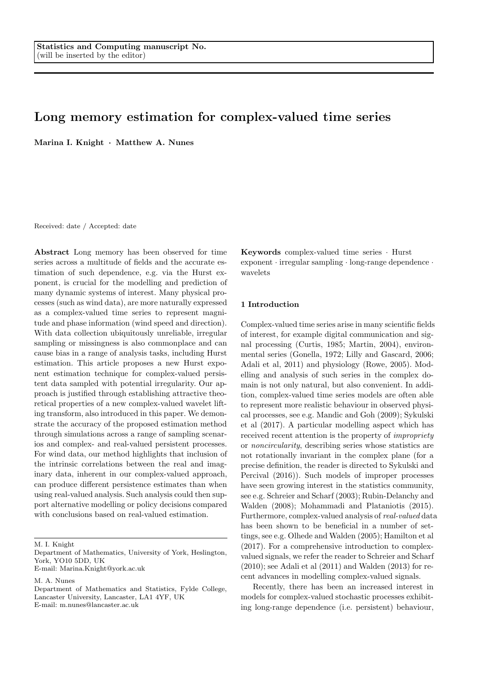# Long memory estimation for complex-valued time series

Marina I. Knight · Matthew A. Nunes

Received: date / Accepted: date

Abstract Long memory has been observed for time series across a multitude of fields and the accurate estimation of such dependence, e.g. via the Hurst exponent, is crucial for the modelling and prediction of many dynamic systems of interest. Many physical processes (such as wind data), are more naturally expressed as a complex-valued time series to represent magnitude and phase information (wind speed and direction). With data collection ubiquitously unreliable, irregular sampling or missingness is also commonplace and can cause bias in a range of analysis tasks, including Hurst estimation. This article proposes a new Hurst exponent estimation technique for complex-valued persistent data sampled with potential irregularity. Our approach is justified through establishing attractive theoretical properties of a new complex-valued wavelet lifting transform, also introduced in this paper. We demonstrate the accuracy of the proposed estimation method through simulations across a range of sampling scenarios and complex- and real-valued persistent processes. For wind data, our method highlights that inclusion of the intrinsic correlations between the real and imaginary data, inherent in our complex-valued approach, can produce different persistence estimates than when using real-valued analysis. Such analysis could then support alternative modelling or policy decisions compared with conclusions based on real-valued estimation.

M. I. Knight

M. A. Nunes

Keywords complex-valued time series · Hurst exponent · irregular sampling · long-range dependence · wavelets

### 1 Introduction

Complex-valued time series arise in many scientific fields of interest, for example digital communication and signal processing (Curtis, 1985; Martin, 2004), environmental series (Gonella, 1972; Lilly and Gascard, 2006; Adali et al, 2011) and physiology (Rowe, 2005). Modelling and analysis of such series in the complex domain is not only natural, but also convenient. In addition, complex-valued time series models are often able to represent more realistic behaviour in observed physical processes, see e.g. Mandic and Goh (2009); Sykulski et al (2017). A particular modelling aspect which has received recent attention is the property of impropriety or noncircularity, describing series whose statistics are not rotationally invariant in the complex plane (for a precise definition, the reader is directed to Sykulski and Percival (2016)). Such models of improper processes have seen growing interest in the statistics community, see e.g. Schreier and Scharf (2003); Rubin-Delanchy and Walden (2008); Mohammadi and Plataniotis (2015). Furthermore, complex-valued analysis of real-valued data has been shown to be beneficial in a number of settings, see e.g. Olhede and Walden (2005); Hamilton et al (2017). For a comprehensive introduction to complexvalued signals, we refer the reader to Schreier and Scharf  $(2010)$ ; see Adali et al  $(2011)$  and Walden  $(2013)$  for recent advances in modelling complex-valued signals.

Recently, there has been an increased interest in models for complex-valued stochastic processes exhibiting long-range dependence (i.e. persistent) behaviour,

Department of Mathematics, University of York, Heslington, York, YO10 5DD, UK

E-mail: Marina.Knight@york.ac.uk

Department of Mathematics and Statistics, Fylde College, Lancaster University, Lancaster, LA1 4YF, UK E-mail: m.nunes@lancaster.ac.uk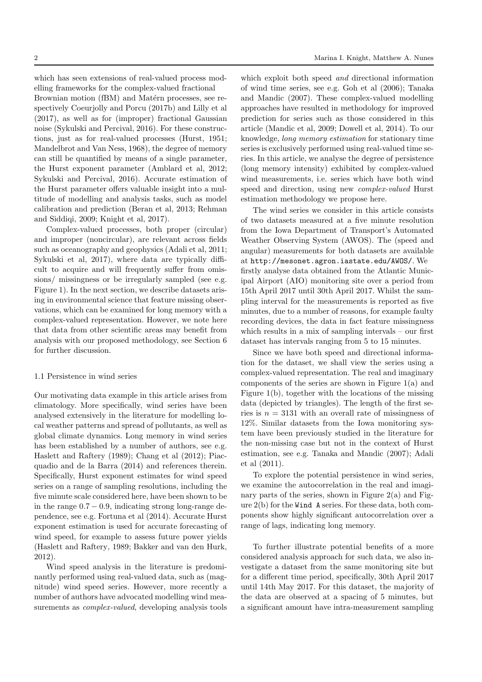which has seen extensions of real-valued process modelling frameworks for the complex-valued fractional Brownian motion (fBM) and Matérn processes, see respectively Coeurjolly and Porcu (2017b) and Lilly et al (2017), as well as for (improper) fractional Gaussian noise (Sykulski and Percival, 2016). For these constructions, just as for real-valued processes (Hurst, 1951; Mandelbrot and Van Ness, 1968), the degree of memory can still be quantified by means of a single parameter, the Hurst exponent parameter (Amblard et al, 2012; Sykulski and Percival, 2016). Accurate estimation of the Hurst parameter offers valuable insight into a multitude of modelling and analysis tasks, such as model calibration and prediction (Beran et al, 2013; Rehman and Siddiqi, 2009; Knight et al, 2017).

Complex-valued processes, both proper (circular) and improper (noncircular), are relevant across fields such as oceanography and geophysics (Adali et al, 2011; Sykulski et al, 2017), where data are typically difficult to acquire and will frequently suffer from omissions/ missingness or be irregularly sampled (see e.g. Figure 1). In the next section, we describe datasets arising in environmental science that feature missing observations, which can be examined for long memory with a complex-valued representation. However, we note here that data from other scientific areas may benefit from analysis with our proposed methodology, see Section 6 for further discussion.

#### 1.1 Persistence in wind series

Our motivating data example in this article arises from climatology. More specifically, wind series have been analysed extensively in the literature for modelling local weather patterns and spread of pollutants, as well as global climate dynamics. Long memory in wind series has been established by a number of authors, see e.g. Haslett and Raftery (1989); Chang et al (2012); Piacquadio and de la Barra (2014) and references therein. Specifically, Hurst exponent estimates for wind speed series on a range of sampling resolutions, including the five minute scale considered here, have been shown to be in the range  $0.7 - 0.9$ , indicating strong long-range dependence, see e.g. Fortuna et al (2014). Accurate Hurst exponent estimation is used for accurate forecasting of wind speed, for example to assess future power yields (Haslett and Raftery, 1989; Bakker and van den Hurk, 2012).

Wind speed analysis in the literature is predominantly performed using real-valued data, such as (magnitude) wind speed series. However, more recently a number of authors have advocated modelling wind measurements as *complex-valued*, developing analysis tools

which exploit both speed *and* directional information of wind time series, see e.g. Goh et al (2006); Tanaka and Mandic (2007). These complex-valued modelling approaches have resulted in methodology for improved prediction for series such as those considered in this article (Mandic et al, 2009; Dowell et al, 2014). To our knowledge, long memory estimation for stationary time series is exclusively performed using real-valued time series. In this article, we analyse the degree of persistence (long memory intensity) exhibited by complex-valued wind measurements, i.e. series which have both wind speed and direction, using new complex-valued Hurst estimation methodology we propose here.

The wind series we consider in this article consists of two datasets measured at a five minute resolution from the Iowa Department of Transport's Automated Weather Observing System (AWOS). The (speed and angular) measurements for both datasets are available at http://mesonet.agron.iastate.edu/AWOS/. We firstly analyse data obtained from the Atlantic Municipal Airport (AIO) monitoring site over a period from 15th April 2017 until 30th April 2017. Whilst the sampling interval for the measurements is reported as five minutes, due to a number of reasons, for example faulty recording devices, the data in fact feature missingness which results in a mix of sampling intervals – our first dataset has intervals ranging from 5 to 15 minutes.

Since we have both speed and directional information for the dataset, we shall view the series using a complex-valued representation. The real and imaginary components of the series are shown in Figure 1(a) and Figure 1(b), together with the locations of the missing data (depicted by triangles). The length of the first series is  $n = 3131$  with an overall rate of missingness of 12%. Similar datasets from the Iowa monitoring system have been previously studied in the literature for the non-missing case but not in the context of Hurst estimation, see e.g. Tanaka and Mandic (2007); Adali et al (2011).

To explore the potential persistence in wind series, we examine the autocorrelation in the real and imaginary parts of the series, shown in Figure  $2(a)$  and Figure 2(b) for the Wind A series. For these data, both components show highly significant autocorrelation over a range of lags, indicating long memory.

To further illustrate potential benefits of a more considered analysis approach for such data, we also investigate a dataset from the same monitoring site but for a different time period, specifically, 30th April 2017 until 14th May 2017. For this dataset, the majority of the data are observed at a spacing of 5 minutes, but a significant amount have intra-measurement sampling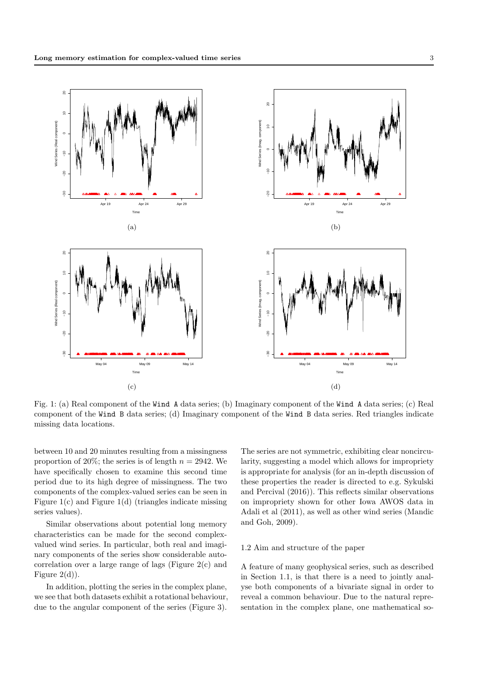

Fig. 1: (a) Real component of the Wind A data series; (b) Imaginary component of the Wind A data series; (c) Real component of the Wind B data series; (d) Imaginary component of the Wind B data series. Red triangles indicate missing data locations.

between 10 and 20 minutes resulting from a missingness proportion of 20%; the series is of length  $n = 2942$ . We have specifically chosen to examine this second time period due to its high degree of missingness. The two components of the complex-valued series can be seen in Figure 1(c) and Figure 1(d) (triangles indicate missing series values).

Similar observations about potential long memory characteristics can be made for the second complexvalued wind series. In particular, both real and imaginary components of the series show considerable autocorrelation over a large range of lags (Figure 2(c) and Figure  $2(d)$ ).

In addition, plotting the series in the complex plane, we see that both datasets exhibit a rotational behaviour, due to the angular component of the series (Figure 3). The series are not symmetric, exhibiting clear noncircularity, suggesting a model which allows for impropriety is appropriate for analysis (for an in-depth discussion of these properties the reader is directed to e.g. Sykulski and Percival (2016)). This reflects similar observations on impropriety shown for other Iowa AWOS data in Adali et al (2011), as well as other wind series (Mandic and Goh, 2009).

### 1.2 Aim and structure of the paper

A feature of many geophysical series, such as described in Section 1.1, is that there is a need to jointly analyse both components of a bivariate signal in order to reveal a common behaviour. Due to the natural representation in the complex plane, one mathematical so-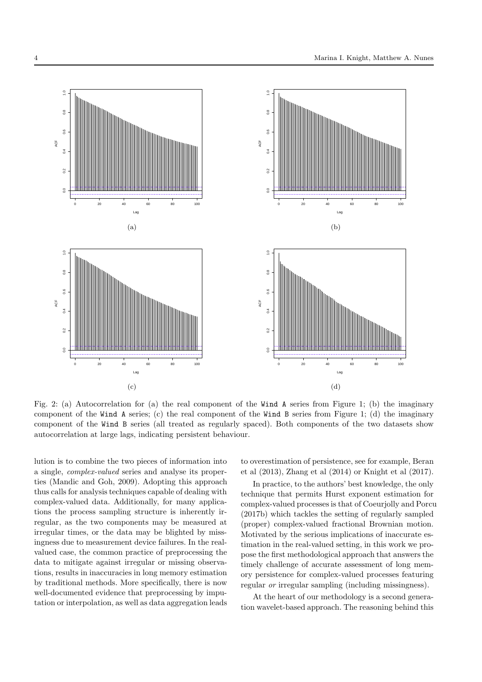

Fig. 2: (a) Autocorrelation for (a) the real component of the Wind A series from Figure 1; (b) the imaginary component of the Wind A series; (c) the real component of the Wind B series from Figure 1; (d) the imaginary component of the Wind B series (all treated as regularly spaced). Both components of the two datasets show autocorrelation at large lags, indicating persistent behaviour.

lution is to combine the two pieces of information into a single, complex-valued series and analyse its properties (Mandic and Goh, 2009). Adopting this approach thus calls for analysis techniques capable of dealing with complex-valued data. Additionally, for many applications the process sampling structure is inherently irregular, as the two components may be measured at irregular times, or the data may be blighted by missingness due to measurement device failures. In the realvalued case, the common practice of preprocessing the data to mitigate against irregular or missing observations, results in inaccuracies in long memory estimation by traditional methods. More specifically, there is now well-documented evidence that preprocessing by imputation or interpolation, as well as data aggregation leads to overestimation of persistence, see for example, Beran et al (2013), Zhang et al (2014) or Knight et al (2017).

In practice, to the authors' best knowledge, the only technique that permits Hurst exponent estimation for complex-valued processes is that of Coeurjolly and Porcu (2017b) which tackles the setting of regularly sampled (proper) complex-valued fractional Brownian motion. Motivated by the serious implications of inaccurate estimation in the real-valued setting, in this work we propose the first methodological approach that answers the timely challenge of accurate assessment of long memory persistence for complex-valued processes featuring regular or irregular sampling (including missingness).

At the heart of our methodology is a second generation wavelet-based approach. The reasoning behind this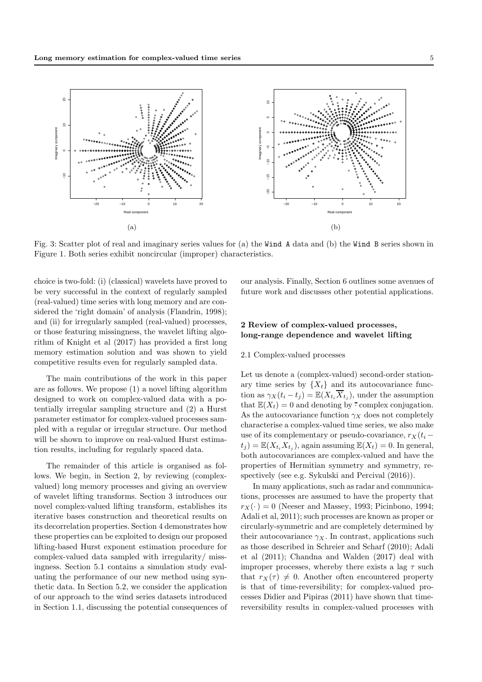

Fig. 3: Scatter plot of real and imaginary series values for (a) the Wind A data and (b) the Wind B series shown in Figure 1. Both series exhibit noncircular (improper) characteristics.

choice is two-fold: (i) (classical) wavelets have proved to be very successful in the context of regularly sampled (real-valued) time series with long memory and are considered the 'right domain' of analysis (Flandrin, 1998); and (ii) for irregularly sampled (real-valued) processes, or those featuring missingness, the wavelet lifting algorithm of Knight et al (2017) has provided a first long memory estimation solution and was shown to yield competitive results even for regularly sampled data.

The main contributions of the work in this paper are as follows. We propose (1) a novel lifting algorithm designed to work on complex-valued data with a potentially irregular sampling structure and (2) a Hurst parameter estimator for complex-valued processes sampled with a regular or irregular structure. Our method will be shown to improve on real-valued Hurst estimation results, including for regularly spaced data.

The remainder of this article is organised as follows. We begin, in Section 2, by reviewing (complexvalued) long memory processes and giving an overview of wavelet lifting transforms. Section 3 introduces our novel complex-valued lifting transform, establishes its iterative bases construction and theoretical results on its decorrelation properties. Section 4 demonstrates how these properties can be exploited to design our proposed lifting-based Hurst exponent estimation procedure for complex-valued data sampled with irregularity/ missingness. Section 5.1 contains a simulation study evaluating the performance of our new method using synthetic data. In Section 5.2, we consider the application of our approach to the wind series datasets introduced in Section 1.1, discussing the potential consequences of our analysis. Finally, Section 6 outlines some avenues of future work and discusses other potential applications.

## 2 Review of complex-valued processes, long-range dependence and wavelet lifting

### 2.1 Complex-valued processes

Let us denote a (complex-valued) second-order stationary time series by  $\{X_t\}$  and its autocovariance function as  $\gamma_X(t_i - t_j) = \mathbb{E}(X_{t_i} \overline{X}_{t_j})$ , under the assumption that  $\mathbb{E}(X_t) = 0$  and denoting by  $\cdot$  complex conjugation. As the autocovariance function  $\gamma_X$  does not completely characterise a complex-valued time series, we also make use of its complementary or pseudo-covariance,  $r_X(t_i (t_j) = \mathbb{E}(X_{t_i}X_{t_j})$ , again assuming  $\mathbb{E}(X_t) = 0$ . In general, both autocovariances are complex-valued and have the properties of Hermitian symmetry and symmetry, respectively (see e.g. Sykulski and Percival (2016)).

In many applications, such as radar and communications, processes are assumed to have the property that  $r_X(\cdot) = 0$  (Neeser and Massey, 1993; Picinbono, 1994; Adali et al, 2011); such processes are known as proper or circularly-symmetric and are completely determined by their autocovariance  $\gamma_X$ . In contrast, applications such as those described in Schreier and Scharf (2010); Adali et al (2011); Chandna and Walden (2017) deal with improper processes, whereby there exists a lag  $\tau$  such that  $r_X(\tau) \neq 0$ . Another often encountered property is that of time-reversibility; for complex-valued processes Didier and Pipiras (2011) have shown that timereversibility results in complex-valued processes with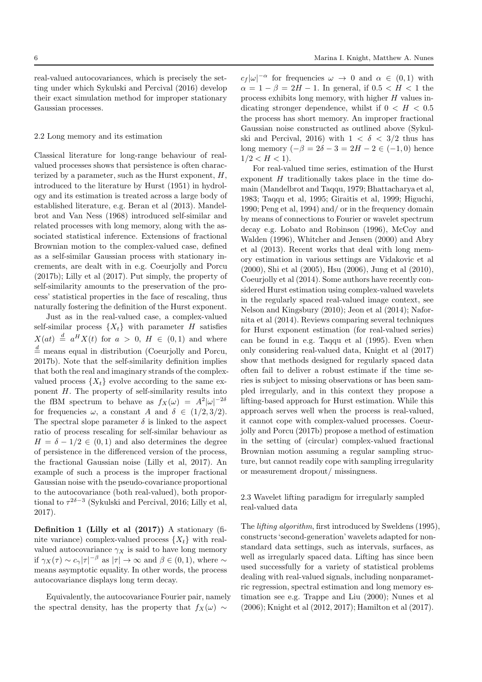real-valued autocovariances, which is precisely the setting under which Sykulski and Percival (2016) develop their exact simulation method for improper stationary Gaussian processes.

### 2.2 Long memory and its estimation

Classical literature for long-range behaviour of realvalued processes shows that persistence is often characterized by a parameter, such as the Hurst exponent,  $H$ , introduced to the literature by Hurst (1951) in hydrology and its estimation is treated across a large body of established literature, e.g. Beran et al (2013). Mandelbrot and Van Ness (1968) introduced self-similar and related processes with long memory, along with the associated statistical inference. Extensions of fractional Brownian motion to the complex-valued case, defined as a self-similar Gaussian process with stationary increments, are dealt with in e.g. Coeurjolly and Porcu (2017b); Lilly et al (2017). Put simply, the property of self-similarity amounts to the preservation of the process' statistical properties in the face of rescaling, thus naturally fostering the definition of the Hurst exponent.

Just as in the real-valued case, a complex-valued self-similar process  $\{X_t\}$  with parameter H satisfies  $X(at) \stackrel{d}{=} a^H X(t)$  for  $a > 0$ ,  $H \in (0,1)$  and where  $\stackrel{d}{=}$  means equal in distribution (Coeurjolly and Porcu, 2017b). Note that the self-similarity definition implies that both the real and imaginary strands of the complexvalued process  $\{X_t\}$  evolve according to the same exponent H. The property of self-similarity results into the fBM spectrum to behave as  $f_X(\omega) = A^2 |\omega|^{-2\delta}$ for frequencies  $\omega$ , a constant A and  $\delta \in (1/2, 3/2)$ . The spectral slope parameter  $\delta$  is linked to the aspect ratio of process rescaling for self-similar behaviour as  $H = \delta - 1/2 \in (0, 1)$  and also determines the degree of persistence in the differenced version of the process, the fractional Gaussian noise (Lilly et al, 2017). An example of such a process is the improper fractional Gaussian noise with the pseudo-covariance proportional to the autocovariance (both real-valued), both proportional to  $\tau^{2\delta-3}$  (Sykulski and Percival, 2016; Lilly et al, 2017).

Definition 1 (Lilly et al (2017)) A stationary (finite variance) complex-valued process  $\{X_t\}$  with realvalued autocovariance  $\gamma_X$  is said to have long memory if  $\gamma_X(\tau) \sim c_\gamma |\tau|^{-\beta}$  as  $|\tau| \to \infty$  and  $\beta \in (0, 1)$ , where  $\sim$ means asymptotic equality. In other words, the process autocovariance displays long term decay.

Equivalently, the autocovariance Fourier pair, namely the spectral density, has the property that  $f_X(\omega) \sim$ 

 $c_f |\omega|^{-\alpha}$  for frequencies  $\omega \to 0$  and  $\alpha \in (0,1)$  with  $\alpha = 1 - \beta = 2H - 1$ . In general, if  $0.5 < H < 1$  the process exhibits long memory, with higher H values indicating stronger dependence, whilst if  $0 < H < 0.5$ the process has short memory. An improper fractional Gaussian noise constructed as outlined above (Sykulski and Percival, 2016) with  $1 < \delta < 3/2$  thus has long memory  $(-\beta = 2\delta - 3 = 2H - 2 \in (-1,0)$  hence  $1/2 < H < 1$ ).

For real-valued time series, estimation of the Hurst exponent  $H$  traditionally takes place in the time domain (Mandelbrot and Taqqu, 1979; Bhattacharya et al, 1983; Taqqu et al, 1995; Giraitis et al, 1999; Higuchi, 1990; Peng et al, 1994) and/ or in the frequency domain by means of connections to Fourier or wavelet spectrum decay e.g. Lobato and Robinson (1996), McCoy and Walden (1996), Whitcher and Jensen (2000) and Abry et al (2013). Recent works that deal with long memory estimation in various settings are Vidakovic et al (2000), Shi et al (2005), Hsu (2006), Jung et al (2010), Coeurjolly et al (2014). Some authors have recently considered Hurst estimation using complex-valued wavelets in the regularly spaced real-valued image context, see Nelson and Kingsbury (2010); Jeon et al (2014); Nafornita et al (2014). Reviews comparing several techniques for Hurst exponent estimation (for real-valued series) can be found in e.g. Taqqu et al (1995). Even when only considering real-valued data, Knight et al (2017) show that methods designed for regularly spaced data often fail to deliver a robust estimate if the time series is subject to missing observations or has been sampled irregularly, and in this context they propose a lifting-based approach for Hurst estimation. While this approach serves well when the process is real-valued, it cannot cope with complex-valued processes. Coeurjolly and Porcu (2017b) propose a method of estimation in the setting of (circular) complex-valued fractional Brownian motion assuming a regular sampling structure, but cannot readily cope with sampling irregularity or measurement dropout/ missingness.

2.3 Wavelet lifting paradigm for irregularly sampled real-valued data

The lifting algorithm, first introduced by Sweldens (1995), constructs 'second-generation' wavelets adapted for nonstandard data settings, such as intervals, surfaces, as well as irregularly spaced data. Lifting has since been used successfully for a variety of statistical problems dealing with real-valued signals, including nonparametric regression, spectral estimation and long memory estimation see e.g. Trappe and Liu (2000); Nunes et al (2006); Knight et al (2012, 2017); Hamilton et al (2017).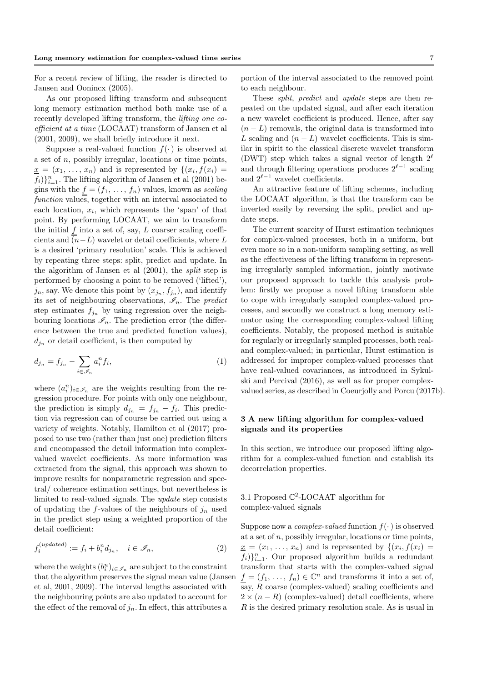For a recent review of lifting, the reader is directed to Jansen and Oonincx (2005).

As our proposed lifting transform and subsequent long memory estimation method both make use of a recently developed lifting transform, the lifting one coefficient at a time (LOCAAT) transform of Jansen et al (2001, 2009), we shall briefly introduce it next.

Suppose a real-valued function  $f(\cdot)$  is observed at a set of  $n$ , possibly irregular, locations or time points,  $\underline{x} = (x_1, \ldots, x_n)$  and is represented by  $\{(x_i, f(x_i))\}$  $f_i)$ <sub> $i=1$ </sub>. The lifting algorithm of Jansen et al (2001) begins with the  $f = (f_1, \ldots, f_n)$  values, known as scaling function values, together with an interval associated to each location,  $x_i$ , which represents the 'span' of that point. By performing LOCAAT, we aim to transform the initial  $f$  into a set of, say,  $L$  coarser scaling coefficients and  $(n-L)$  wavelet or detail coefficients, where L is a desired 'primary resolution' scale. This is achieved by repeating three steps: split, predict and update. In the algorithm of Jansen et al (2001), the split step is performed by choosing a point to be removed ('lifted'),  $j_n$ , say. We denote this point by  $(x_{j_n}, f_{j_n})$ , and identify its set of neighbouring observations,  $\mathscr{I}_n$ . The predict step estimates  $f_{j_n}$  by using regression over the neighbouring locations  $\mathscr{I}_n$ . The prediction error (the difference between the true and predicted function values),  $d_{j_n}$  or detail coefficient, is then computed by

$$
d_{j_n} = f_{j_n} - \sum_{i \in \mathscr{I}_n} a_i^n f_i,\tag{1}
$$

where  $(a_i^n)_{i \in \mathscr{I}_n}$  are the weights resulting from the regression procedure. For points with only one neighbour, the prediction is simply  $d_{j_n} = f_{j_n} - f_i$ . This prediction via regression can of course be carried out using a variety of weights. Notably, Hamilton et al (2017) proposed to use two (rather than just one) prediction filters and encompassed the detail information into complexvalued wavelet coefficients. As more information was extracted from the signal, this approach was shown to improve results for nonparametric regression and spectral/ coherence estimation settings, but nevertheless is limited to real-valued signals. The update step consists of updating the f-values of the neighbours of  $j_n$  used in the predict step using a weighted proportion of the detail coefficient:

$$
f_i^{(updated)} := f_i + b_i^n d_{j_n}, \quad i \in \mathcal{I}_n,
$$
\n
$$
(2)
$$

where the weights  $(b_i^n)_{i \in \mathscr{I}_n}$  are subject to the constraint that the algorithm preserves the signal mean value (Jansen et al, 2001, 2009). The interval lengths associated with the neighbouring points are also updated to account for the effect of the removal of  $j_n$ . In effect, this attributes a

portion of the interval associated to the removed point to each neighbour.

These *split, predict* and *update* steps are then repeated on the updated signal, and after each iteration a new wavelet coefficient is produced. Hence, after say  $(n - L)$  removals, the original data is transformed into L scaling and  $(n - L)$  wavelet coefficients. This is similar in spirit to the classical discrete wavelet transform (DWT) step which takes a signal vector of length  $2^{\ell}$ and through filtering operations produces  $2^{\ell-1}$  scaling and  $2^{\ell-1}$  wavelet coefficients.

An attractive feature of lifting schemes, including the LOCAAT algorithm, is that the transform can be inverted easily by reversing the split, predict and update steps.

The current scarcity of Hurst estimation techniques for complex-valued processes, both in a uniform, but even more so in a non-uniform sampling setting, as well as the effectiveness of the lifting transform in representing irregularly sampled information, jointly motivate our proposed approach to tackle this analysis problem: firstly we propose a novel lifting transform able to cope with irregularly sampled complex-valued processes, and secondly we construct a long memory estimator using the corresponding complex-valued lifting coefficients. Notably, the proposed method is suitable for regularly or irregularly sampled processes, both realand complex-valued; in particular, Hurst estimation is addressed for improper complex-valued processes that have real-valued covariances, as introduced in Sykulski and Percival (2016), as well as for proper complexvalued series, as described in Coeurjolly and Porcu (2017b).

### 3 A new lifting algorithm for complex-valued signals and its properties

In this section, we introduce our proposed lifting algorithm for a complex-valued function and establish its decorrelation properties.

# 3.1 Proposed C 2 -LOCAAT algorithm for complex-valued signals

Suppose now a *complex-valued* function  $f(\cdot)$  is observed at a set of  $n$ , possibly irregular, locations or time points,  $\underline{x} = (x_1, \ldots, x_n)$  and is represented by  $\{(x_i, f(x_i))\}$  $f_i)$ <sub>i=1</sub>. Our proposed algorithm builds a redundant transform that starts with the complex-valued signal  $f = (f_1, \ldots, f_n) \in \mathbb{C}^n$  and transforms it into a set of, say, R coarse (complex-valued) scaling coefficients and  $2 \times (n - R)$  (complex-valued) detail coefficients, where  $R$  is the desired primary resolution scale. As is usual in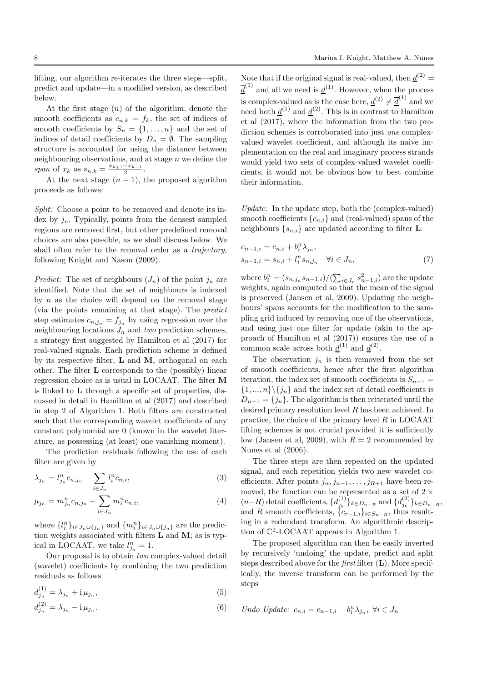lifting, our algorithm re-iterates the three steps—split, predict and update—in a modified version, as described below.

At the first stage  $(n)$  of the algorithm, denote the smooth coefficients as  $c_{n,k} = f_k$ , the set of indices of smooth coefficients by  $S_n = \{1, \ldots, n\}$  and the set of indices of detail coefficients by  $D_n = \emptyset$ . The sampling structure is accounted for using the distance between neighbouring observations, and at stage  $n$  we define the span of  $x_k$  as  $s_{n,k} = \frac{x_{k+1} - x_{k-1}}{2}$ .

At the next stage  $(n-1)$ , the proposed algorithm proceeds as follows:

Split: Choose a point to be removed and denote its index by  $j_n$ . Typically, points from the densest sampled regions are removed first, but other predefined removal choices are also possible, as we shall discuss below. We shall often refer to the removal order as a trajectory, following Knight and Nason (2009).

*Predict:* The set of neighbours  $(J_n)$  of the point  $j_n$  are identified. Note that the set of neighbours is indexed by  $n$  as the choice will depend on the removal stage (via the points remaining at that stage). The predict step estimates  $c_{n,j_n} = f_{j_n}$  by using regression over the neighbouring locations  $J_n$  and two prediction schemes, a strategy first suggested by Hamilton et al (2017) for real-valued signals. Each prediction scheme is defined by its respective filter, L and M, orthogonal on each other. The filter L corresponds to the (possibly) linear regression choice as is usual in LOCAAT. The filter M is linked to L through a specific set of properties, discussed in detail in Hamilton et al (2017) and described in step 2 of Algorithm 1. Both filters are constructed such that the corresponding wavelet coefficients of any constant polynomial are 0 (known in the wavelet literature, as possessing (at least) one vanishing moment).

The prediction residuals following the use of each filter are given by

$$
\lambda_{j_n} = l_{j_n}^n c_{n,j_n} - \sum_{i \in J_n} l_i^n c_{n,i},\tag{3}
$$

$$
\mu_{j_n} = m_{j_n}^n c_{n,j_n} - \sum_{i \in J_n} m_i^n c_{n,i}, \tag{4}
$$

where  $\{l_i^n\}_{i\in J_n\cup\{j_n\}}$  and  $\{m_i^n\}_{i\in J_n\cup\{j_n\}}$  are the prediction weights associated with filters  $L$  and  $M$ ; as is typical in LOCAAT, we take  $l_{j_n}^n = 1$ .

Our proposal is to obtain two complex-valued detail (wavelet) coefficients by combining the two prediction residuals as follows

$$
d_{j_n}^{(1)} = \lambda_{j_n} + i \mu_{j_n},\tag{5}
$$

$$
d_{j_n}^{(2)} = \lambda_{j_n} - i \mu_{j_n}.
$$
 (6)

Note that if the original signal is real-valued, then  $\underline{d}^{(2)} =$  $\overline{\underline{d}}^{(1)}$  and all we need is  $\underline{d}^{(1)}$ . However, when the process is complex-valued as is the case here,  $\underline{d}^{(2)} \neq \overline{d}^{(1)}$  and we need both  $\underline{d}^{(1)}$  and  $\underline{d}^{(2)}$ . This is in contrast to Hamilton et al (2017), where the information from the two prediction schemes is corroborated into just *one* complexvalued wavelet coefficient, and although its naive implementation on the real and imaginary process strands would yield two sets of complex-valued wavelet coefficients, it would not be obvious how to best combine their information.

Update: In the update step, both the (complex-valued) smooth coefficients  ${c_{n,i}}$  and (real-valued) spans of the neighbours  $\{s_{n,i}\}\$ are updated according to filter **L**:

$$
c_{n-1,i} = c_{n,i} + b_i^n \lambda_{j_n},
$$
  
\n
$$
s_{n-1,i} = s_{n,i} + l_i^n s_{n,j_n} \quad \forall i \in J_n,
$$
\n
$$
(7)
$$

where  $b_i^n = (s_{n,j_n} s_{n-1,i})/(\sum_{i \in J_n} s_{n-1,i}^2)$  are the update weights, again computed so that the mean of the signal is preserved (Jansen et al, 2009). Updating the neighbours' spans accounts for the modification to the sampling grid induced by removing one of the observations, and using just one filter for update (akin to the approach of Hamilton et al (2017)) ensures the use of a common scale across both  $\underline{d}^{(1)}$  and  $\underline{d}^{(2)}$ .

The observation  $j_n$  is then removed from the set of smooth coefficients, hence after the first algorithm iteration, the index set of smooth coefficients is  $S_{n-1}$  =  $\{1, ..., n\} \backslash \{j_n\}$  and the index set of detail coefficients is  $D_{n-1} = \{j_n\}.$  The algorithm is then reiterated until the desired primary resolution level R has been achieved. In practice, the choice of the primary level  $R$  in LOCAAT lifting schemes is not crucial provided it is sufficiently low (Jansen et al, 2009), with  $R = 2$  recommended by Nunes et al (2006).

The three steps are then repeated on the updated signal, and each repetition yields two new wavelet coefficients. After points  $j_n, j_{n-1}, \ldots, j_{R+1}$  have been removed, the function can be represented as a set of  $2 \times$  $(n-R)$  detail coefficients,  $\{d_{j_k}^{(1)}\}_{k \in D_{n-R}}$  and  $\{d_{j_k}^{(2)}\}_{k \in D_{n-R}}$ , and R smooth coefficients,  ${c_{r-1,i}}_{i\in S_{n-R}}$ , thus resulting in a redundant transform. An algorithmic description of C 2 -LOCAAT appears in Algorithm 1.

The proposed algorithm can then be easily inverted by recursively 'undoing' the update, predict and split steps described above for the *first* filter  $(L)$ . More specifically, the inverse transform can be performed by the steps

$$
Undo \; Update: \; c_{n,i} = c_{n-1,i} - b_i^n \lambda_{j_n}, \; \forall i \in J_n
$$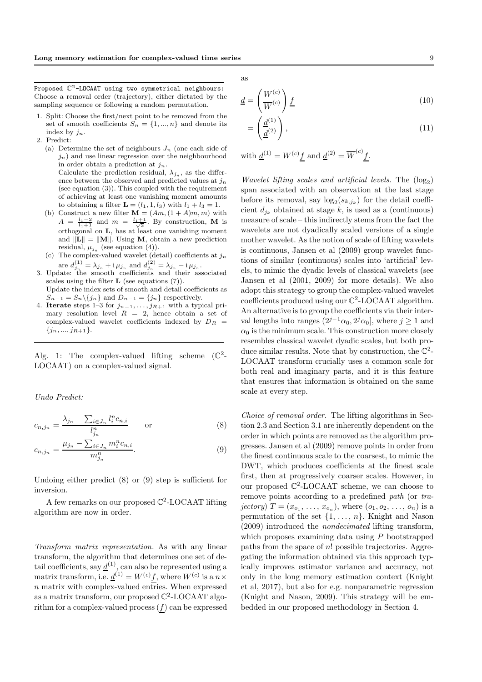Proposed  $\mathbb{C}^2$ -LOCAAT using two symmetrical neighbours: Choose a removal order (trajectory), either dictated by the sampling sequence or following a random permutation.

- 1. Split: Choose the first/next point to be removed from the set of smooth coefficients  $S_n = \{1, ..., n\}$  and denote its index by  $j_n$ .
- 2. Predict:
	- (a) Determine the set of neighbours  $J_n$  (one each side of  $j_n$ ) and use linear regression over the neighbourhood in order obtain a prediction at  $j_n$ . Calculate the prediction residual,  $\lambda_{j_n}$ , as the difference between the observed and predicted values at  $j_n$ (see equation (3)). This coupled with the requirement of achieving at least one vanishing moment amounts to obtaining a filter  $\mathbf{L} = (l_1, 1, l_3)$  with  $l_1 + l_3 = 1$ .
	- (b) Construct a new filter  $\mathbf{M} = (Am, (1+A)m, m)$  with  $A = \frac{l_1 - 2}{l_1 + 1}$  and  $m = \frac{l_1 + 1}{\sqrt{3}}$ . By construction, M is orthogonal on L, has at least one vanishing moment and  $\|\mathbf{L}\| = \|\mathbf{M}\|$ . Using **M**, obtain a new prediction residual,  $\mu_{j_n}$  (see equation (4)).
	- (c) The complex-valued wavelet (detail) coefficients at  $j_n$ are  $d_{j_n}^{(1)} = \lambda_{j_n} + i \mu_{j_n}$  and  $d_{j_n}^{(2)} = \lambda_{j_n} - i \mu_{j_n}$ .
- 3. Update: the smooth coefficients and their associated scales using the filter  $L$  (see equations  $(7)$ ). Update the index sets of smooth and detail coefficients as  $S_{n-1} = S_n \setminus \{j_n\}$  and  $D_{n-1} = \{j_n\}$  respectively.
- 4. **Iterate** steps 1–3 for  $j_{n-1}, \ldots, j_{R+1}$  with a typical primary resolution level  $R = 2$ , hence obtain a set of complex-valued wavelet coefficients indexed by  $D_R =$  $\{j_n, ..., j_{R+1}\}.$

Alg. 1: The complex-valued lifting scheme  $(\mathbb{C}^2-)$ LOCAAT) on a complex-valued signal.

Undo Predict:

$$
c_{n,j_n} = \frac{\lambda_{j_n} - \sum_{i \in J_n} l_i^n c_{n,i}}{l_{j_n}^n} \qquad \text{or} \qquad (8)
$$

$$
c_{n,j_n} = \frac{\mu_{j_n} - \sum_{i \in J_n} m_i^n c_{n,i}}{m_{j_n}^n}.
$$
\n(9)

Undoing either predict (8) or (9) step is sufficient for inversion.

A few remarks on our proposed  $\mathbb{C}^2$ -LOCAAT lifting algorithm are now in order.

Transform matrix representation. As with any linear transform, the algorithm that determines one set of detail coefficients, say  $\underline{d}^{(1)}$ , can also be represented using a matrix transform, i.e.  $\underline{d}^{(1)} = W^{(c)}f$ , where  $W^{(c)}$  is a  $n \times$ n matrix with complex-valued entries. When expressed as a matrix transform, our proposed  $\mathbb{C}^2$ -LOCAAT algorithm for a complex-valued process  $(f)$  can be expressed

as

$$
\underline{d} = \left(\frac{W^{(c)}}{W^{(c)}}\right)\underline{f} \tag{10}
$$

$$
=\left(\frac{\underline{d}^{(1)}}{\underline{d}^{(2)}}\right),\tag{11}
$$

with  $\underline{d}^{(1)} = W^{(c)}f$  and  $\underline{d}^{(2)} = \overline{W}^{(c)}f$ .

*Wavelet lifting scales and artificial levels.* The  $(\log_2)$ span associated with an observation at the last stage before its removal, say  $log_2(s_{k,j_k})$  for the detail coefficient  $d_{j_k}$  obtained at stage k, is used as a (continuous) measure of scale – this indirectly stems from the fact the wavelets are not dyadically scaled versions of a single mother wavelet. As the notion of scale of lifting wavelets is continuous, Jansen et al (2009) group wavelet functions of similar (continuous) scales into 'artificial' levels, to mimic the dyadic levels of classical wavelets (see Jansen et al (2001, 2009) for more details). We also adopt this strategy to group the complex-valued wavelet coefficients produced using our  $\mathbb{C}^2$ -LOCAAT algorithm. An alternative is to group the coefficients via their interval lengths into ranges  $(2^{j-1}\alpha_0, 2^j\alpha_0]$ , where  $j \ge 1$  and  $\alpha_0$  is the minimum scale. This construction more closely resembles classical wavelet dyadic scales, but both produce similar results. Note that by construction, the  $\mathbb{C}^2$ -LOCAAT transform crucially uses a common scale for both real and imaginary parts, and it is this feature that ensures that information is obtained on the same scale at every step.

Choice of removal order. The lifting algorithms in Section 2.3 and Section 3.1 are inherently dependent on the order in which points are removed as the algorithm progresses. Jansen et al (2009) remove points in order from the finest continuous scale to the coarsest, to mimic the DWT, which produces coefficients at the finest scale first, then at progressively coarser scales. However, in our proposed  $\mathbb{C}^2$ -LOCAAT scheme, we can choose to remove points according to a predefined path (or tra*jectory*)  $T = (x_{o_1}, \ldots, x_{o_n})$ , where  $(o_1, o_2, \ldots, o_n)$  is a permutation of the set  $\{1, \ldots, n\}$ . Knight and Nason (2009) introduced the nondecimated lifting transform, which proposes examining data using  $P$  bootstrapped paths from the space of  $n!$  possible trajectories. Aggregating the information obtained via this approach typically improves estimator variance and accuracy, not only in the long memory estimation context (Knight et al, 2017), but also for e.g. nonparametric regression (Knight and Nason, 2009). This strategy will be embedded in our proposed methodology in Section 4.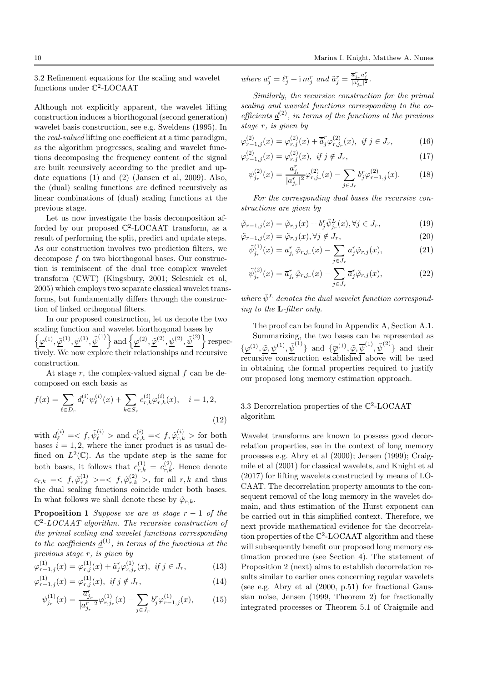3.2 Refinement equations for the scaling and wavelet functions under  $\mathbb{C}^2$ -LOCAAT

Although not explicitly apparent, the wavelet lifting construction induces a biorthogonal (second generation) wavelet basis construction, see e.g. Sweldens (1995). In the real-valued lifting one coefficient at a time paradigm, as the algorithm progresses, scaling and wavelet functions decomposing the frequency content of the signal are built recursively according to the predict and update equations (1) and (2) (Jansen et al, 2009). Also, the (dual) scaling functions are defined recursively as linear combinations of (dual) scaling functions at the previous stage.

Let us now investigate the basis decomposition afforded by our proposed  $\mathbb{C}^2$ -LOCAAT transform, as a result of performing the split, predict and update steps. As our construction involves two prediction filters, we decompose f on two biorthogonal bases. Our construction is reminiscent of the dual tree complex wavelet transform (CWT) (Kingsbury, 2001; Selesnick et al, 2005) which employs two separate classical wavelet transforms, but fundamentally differs through the construction of linked orthogonal filters.

In our proposed construction, let us denote the two scaling function and wavelet biorthogonal bases by  $\{\varphi^{(1)}, \tilde{\varphi}^{(1)}, \psi^{(1)}, \tilde{\psi}^{(1)}\}$  and  $\{\varphi^{(2)}, \tilde{\varphi}^{(2)}, \psi^{(2)}, \tilde{\psi}^{(2)}\}$  respectively. We now explore their relationships and recursive construction.

At stage  $r$ , the complex-valued signal  $f$  can be decomposed on each basis as

$$
f(x) = \sum_{\ell \in D_r} d_{\ell}^{(i)} \psi_{\ell}^{(i)}(x) + \sum_{k \in S_r} c_{r,k}^{(i)} \varphi_{r,k}^{(i)}(x), \quad i = 1, 2,
$$
\n(12)

with  $d_{\ell}^{(i)} = \langle f, \tilde{\psi}_{\ell}^{(i)} \rangle$  and  $c_{r,k}^{(i)} = \langle f, \tilde{\varphi}_{r,k}^{(i)} \rangle$  for both bases  $i = 1, 2$ , where the inner product is as usual defined on  $L^2(\mathbb{C})$ . As the update step is the same for both bases, it follows that  $c_{r,k}^{(1)} = c_{r,k}^{(2)}$ . Hence denote  $c_{r,k} = \langle f, \tilde{\varphi}_{r,k}^{(1)} \rangle = \langle f, \tilde{\varphi}_{r,k}^{(2)} \rangle$ , for all  $r, k$  and thus the dual scaling functions coincide under both bases. In what follows we shall denote these by  $\tilde{\varphi}_{r,k}$ .

**Proposition 1** Suppose we are at stage  $r - 1$  of the  $\mathbb{C}^2$ -LOCAAT algorithm. The recursive construction of the primal scaling and wavelet functions corresponding to the coefficients  $\underline{d}^{(1)}$ , in terms of the functions at the previous stage r, is given by

$$
\varphi_{r-1,j}^{(1)}(x) = \varphi_{r,j}^{(1)}(x) + \tilde{a}_j^r \varphi_{r,j_r}^{(1)}(x), \text{ if } j \in J_r,
$$
 (13)

$$
\varphi_{r-1,j}^{(1)}(x) = \varphi_{r,j}^{(1)}(x), \ \text{if } j \notin J_r,\tag{14}
$$

$$
\psi_{j_r}^{(1)}(x) = \frac{\overline{a}_{j_r}^r}{|a_{j_r}^r|^2} \varphi_{r,j_r}^{(1)}(x) - \sum_{j \in J_r} b_j^r \varphi_{r-1,j}^{(1)}(x), \qquad (15)
$$

where  $a_j^r = \ell_j^r + \mathrm{i} m_j^r$  and  $\tilde{a}_j^r = \frac{\overline{a}_{j_r}^r a_j^r}{|a_{j_r}^r|^2}$ .

Similarly, the recursive construction for the primal scaling and wavelet functions corresponding to the coefficients  $\underline{d}^{(2)}$ , in terms of the functions at the previous stage r, is given by

$$
\varphi_{r-1,j}^{(2)}(x) = \varphi_{r,j}^{(2)}(x) + \overline{\tilde{a}}_j^r \varphi_{r,j_r}^{(2)}(x), \ \text{if } j \in J_r,\tag{16}
$$

$$
\varphi_{r-1,j}^{(2)}(x) = \varphi_{r,j}^{(2)}(x), \ \text{if } j \notin J_r,\tag{17}
$$

$$
\psi_{j_r}^{(2)}(x) = \frac{a_{j_r}^r}{|a_{j_r}^r|^2} \varphi_{r,j_r}^{(2)}(x) - \sum_{j \in J_r} b_j^r \varphi_{r-1,j}^{(2)}(x). \tag{18}
$$

For the corresponding dual bases the recursive constructions are given by

$$
\tilde{\varphi}_{r-1,j}(x) = \tilde{\varphi}_{r,j}(x) + b_j^r \tilde{\psi}_{j_r}^L(x), \forall j \in J_r,
$$
\n(19)

$$
\tilde{\varphi}_{r-1,j}(x) = \tilde{\varphi}_{r,j}(x), \forall j \notin J_r,
$$
\n(20)

$$
\tilde{\psi}_{j_r}^{(1)}(x) = a_{j_r}^r \tilde{\varphi}_{r,j_r}(x) - \sum_{j \in J_r} a_j^r \tilde{\varphi}_{r,j}(x),\tag{21}
$$

$$
\tilde{\psi}_{j_r}^{(2)}(x) = \overline{a}_{j_r}^r \tilde{\varphi}_{r,j_r}(x) - \sum_{j \in J_r} \overline{a}_j^r \tilde{\varphi}_{r,j}(x),\tag{22}
$$

where  $\tilde{\psi}^L$  denotes the dual wavelet function corresponding to the L-filter only.

The proof can be found in Appendix A, Section A.1. Summarizing, the two bases can be represented as  $\{\varphi^{(1)}, \tilde{\varphi}, \psi^{(1)}, \tilde{\psi}^{(1)}\}$  and  $\{\overline{\varphi}^{(1)}, \tilde{\varphi}, \overline{\psi}^{(1)}, \tilde{\psi}^{(2)}\}$  and their recursive construction established above will be used in obtaining the formal properties required to justify our proposed long memory estimation approach.

# 3.3 Decorrelation properties of the C 2 -LOCAAT algorithm

Wavelet transforms are known to possess good decorrelation properties, see in the context of long memory processes e.g. Abry et al (2000); Jensen (1999); Craigmile et al (2001) for classical wavelets, and Knight et al (2017) for lifting wavelets constructed by means of LO-CAAT. The decorrelation property amounts to the consequent removal of the long memory in the wavelet domain, and thus estimation of the Hurst exponent can be carried out in this simplified context. Therefore, we next provide mathematical evidence for the decorrelation properties of the C 2 -LOCAAT algorithm and these will subsequently benefit our proposed long memory estimation procedure (see Section 4). The statement of Proposition 2 (next) aims to establish decorrelation results similar to earlier ones concerning regular wavelets (see e.g. Abry et al (2000, p.51) for fractional Gaussian noise, Jensen (1999, Theorem 2) for fractionally integrated processes or Theorem 5.1 of Craigmile and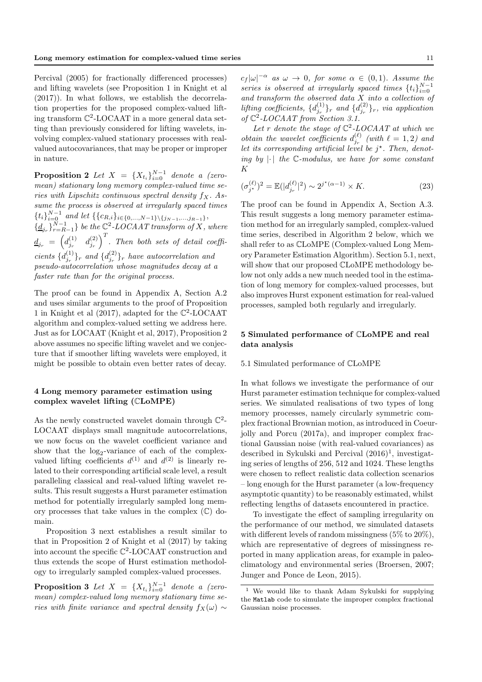Percival (2005) for fractionally differenced processes) and lifting wavelets (see Proposition 1 in Knight et al (2017)). In what follows, we establish the decorrelation properties for the proposed complex-valued lifting transform C 2 -LOCAAT in a more general data setting than previously considered for lifting wavelets, involving complex-valued stationary processes with realvalued autocovariances, that may be proper or improper in nature.

**Proposition 2** Let  $X = \{X_{t_i}\}_{i=0}^{N-1}$  denote a (zeromean) stationary long memory complex-valued time series with Lipschitz continuous spectral density  $f_X$ . Assume the process is observed at irregularly spaced times  ${t_i}_{i=0}^{N-1}$  and let  ${c_{R,i}}_{i\in{0,\ldots,N-1}\setminus{j_{N-1},\ldots,j_{R-1}}},$  $\{\underline{d}_{j_r}\}_{r=R-1}^{N-1}$  be the  $\mathbb{C}^2$ -LOCAAT transform of X, where  $\underline{d}_{j_r} \; = \; \Big( d_{j_r}^{(1)} \quad d_{j_r}^{(2)} \Big)^T.$  Then both sets of detail coefficients  $\{d_{j_r}^{(1)}\}_r$  and  $\{d_{j_r}^{(2)}\}_r$  have autocorrelation and pseudo-autocorrelation whose magnitudes decay at a faster rate than for the original process.

The proof can be found in Appendix A, Section A.2 and uses similar arguments to the proof of Proposition 1 in Knight et al (2017), adapted for the  $\mathbb{C}^2$ -LOCAAT algorithm and complex-valued setting we address here. Just as for LOCAAT (Knight et al, 2017), Proposition 2 above assumes no specific lifting wavelet and we conjecture that if smoother lifting wavelets were employed, it might be possible to obtain even better rates of decay.

### 4 Long memory parameter estimation using complex wavelet lifting (CLoMPE)

As the newly constructed wavelet domain through  $\mathbb{C}^2$ -LOCAAT displays small magnitude autocorrelations, we now focus on the wavelet coefficient variance and show that the  $log_2$ -variance of each of the complexvalued lifting coefficients  $d^{(1)}$  and  $d^{(2)}$  is linearly related to their corresponding artificial scale level, a result paralleling classical and real-valued lifting wavelet results. This result suggests a Hurst parameter estimation method for potentially irregularly sampled long memory processes that take values in the complex  $(\mathbb{C})$  domain.

Proposition 3 next establishes a result similar to that in Proposition 2 of Knight et al (2017) by taking into account the specific C 2 -LOCAAT construction and thus extends the scope of Hurst estimation methodology to irregularly sampled complex-valued processes.

**Proposition 3** Let  $X = \{X_{t_i}\}_{i=0}^{N-1}$  denote a (zeromean) complex-valued long memory stationary time series with finite variance and spectral density  $f_X(\omega) \sim$ 

 $c_f |\omega|^{-\alpha}$  as  $\omega \to 0$ , for some  $\alpha \in (0,1)$ . Assume the series is observed at irregularly spaced times  $\{t_i\}_{i=0}^{N-1}$ and transform the observed data  $X$  into a collection of lifting coefficients,  $\{d_{j_r}^{(1)}\}_r$  and  $\{d_{j_r}^{(2)}\}_r$ , via application of  $\mathbb{C}^2$ -LOCAAT from Section 3.1.

Let r denote the stage of  $\mathbb{C}^2$ -LOCAAT at which we *obtain the wavelet coefficients*  $d_{j_r}^{(\ell)}$  (with  $\ell = 1, 2$ ) and let its corresponding artificial level be  $j^*$ . Then, denoting by  $|\cdot|$  the C-modulus, we have for some constant K

$$
(\sigma_{j^*}^{(\ell)})^2 = \mathbb{E}(|d_{j_r}^{(\ell)}|^2) \sim 2^{j^*(\alpha - 1)} \times K.
$$
 (23)

The proof can be found in Appendix A, Section A.3. This result suggests a long memory parameter estimation method for an irregularly sampled, complex-valued time series, described in Algorithm 2 below, which we shall refer to as CLoMPE (Complex-valued Long Memory Parameter Estimation Algorithm). Section 5.1, next, will show that our proposed CLoMPE methodology below not only adds a new much needed tool in the estimation of long memory for complex-valued processes, but also improves Hurst exponent estimation for real-valued processes, sampled both regularly and irregularly.

### 5 Simulated performance of CLoMPE and real data analysis

### 5.1 Simulated performance of CLoMPE

In what follows we investigate the performance of our Hurst parameter estimation technique for complex-valued series. We simulated realisations of two types of long memory processes, namely circularly symmetric complex fractional Brownian motion, as introduced in Coeurjolly and Porcu (2017a), and improper complex fractional Gaussian noise (with real-valued covariances) as described in Sykulski and Percival  $(2016)^1$ , investigating series of lengths of 256, 512 and 1024. These lengths were chosen to reflect realistic data collection scenarios – long enough for the Hurst parameter (a low-frequency asymptotic quantity) to be reasonably estimated, whilst reflecting lengths of datasets encountered in practice.

To investigate the effect of sampling irregularity on the performance of our method, we simulated datasets with different levels of random missingness (5% to 20%), which are representative of degrees of missingness reported in many application areas, for example in paleoclimatology and environmental series (Broersen, 2007; Junger and Ponce de Leon, 2015).

<sup>1</sup> We would like to thank Adam Sykulski for supplying the Matlab code to simulate the improper complex fractional Gaussian noise processes.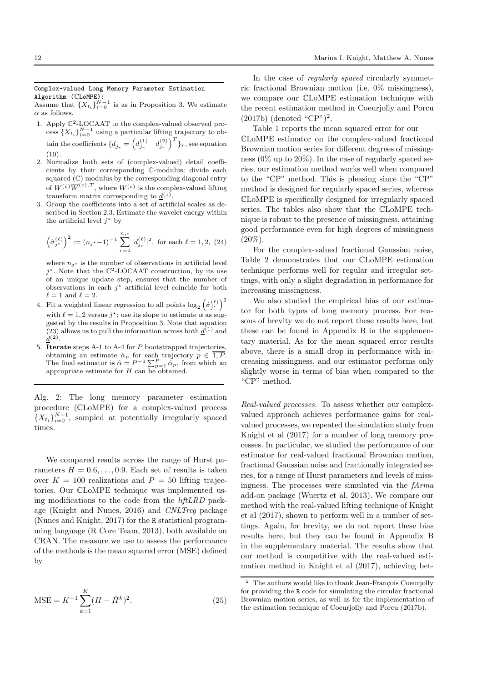#### Complex-valued Long Memory Parameter Estimation Algorithm (CLoMPE):

Assume that  $\{X_{t_i}\}_{i=0}^{N-1}$  is as in Proposition 3. We estimate  $\alpha$  as follows.

- 1. Apply  $\mathbb{C}^2$ -LOCAAT to the complex-valued observed process  $\{X_{t_i}\}_{i=0}^{N-1}$  using a particular lifting trajectory to obtain the coefficients  $\{\underline{d}_{j_r} = \begin{pmatrix} d_{j_r}^{(1)} & d_{j_r}^{(2)} \end{pmatrix}^T\}_r$ , see equation  $(10).$
- 2. Normalize both sets of (complex-valued) detail coefficients by their corresponding C-modulus: divide each squared  $(\mathbb{C})$  modulus by the corresponding diagonal entry of  $W^{(c)}\overline{W}^{(c),T}$ , where  $W^{(c)}$  is the complex-valued lifting transform matrix corresponding to  $\underline{d}^{(1)}$ .
- 3. Group the coefficients into a set of artificial scales as described in Section 2.3. Estimate the wavelet energy within the artificial level  $j^*$  by

$$
\left(\hat{\sigma}_{j^*}^{(\ell)}\right)^2 := (n_{j^*} - 1)^{-1} \sum_{r=1}^{n_{j^*}} |d_{j_r}^{(\ell)}|^2, \text{ for each } \ell = 1, 2, (24)
$$

where  $n_{j^*}$  is the number of observations in artificial level  $j^*$ . Note that the  $\mathbb{C}^2$ -LOCAAT construction, by its use of an unique update step, ensures that the number of observations in each  $j^*$  artificial level coincide for both  $\ell=1$  and  $\ell=2.$ 

- 4. Fit a weighted linear regression to all points  $\log_2(\hat{\sigma}_{j^*}^{(\ell)})^2$ with  $\ell = 1, 2$  versus  $j^*$ ; use its slope to estimate  $\alpha$  as suggested by the results in Proposition 3. Note that equation (23) allows us to pull the information across both  $\underline{d}^{(1)}$  and  $\underline{d}^{(2)}$ .
- 5. Iterate steps A-1 to A-4 for P bootstrapped trajectories, obtaining an estimate  $\hat{\alpha}_p$  for each trajectory  $p \in 1, P$ . The final estimator is  $\hat{\alpha} = P^{-1} \sum_{p=1}^{P} \hat{\alpha}_p$ , from which an appropriate estimate for  $H$  can be obtained.

Alg. 2: The long memory parameter estimation procedure (CLoMPE) for a complex-valued process  ${X_{t_i}}_{i=0}^{N-1}$ , sampled at potentially irregularly spaced times.

We compared results across the range of Hurst parameters  $H = 0.6, \ldots, 0.9$ . Each set of results is taken over  $K = 100$  realizations and  $P = 50$  lifting trajectories. Our CLoMPE technique was implemented using modifications to the code from the liftLRD package (Knight and Nunes, 2016) and CNLTreg package (Nunes and Knight, 2017) for the R statistical programming language (R Core Team, 2013), both available on CRAN. The measure we use to assess the performance of the methods is the mean squared error (MSE) defined by

$$
\text{MSE} = K^{-1} \sum_{k=1}^{K} (H - \hat{H}^k)^2.
$$
 (25)

In the case of *regularly spaced* circularly symmetric fractional Brownian motion (i.e. 0% missingness), we compare our CLoMPE estimation technique with the recent estimation method in Coeurjolly and Porcu (2017b) (denoted "CP")<sup>2</sup> .

Table 1 reports the mean squared error for our CLoMPE estimator on the complex-valued fractional Brownian motion series for different degrees of missingness (0% up to 20%). In the case of regularly spaced series, our estimation method works well when compared to the "CP" method. This is pleasing since the "CP" method is designed for regularly spaced series, whereas CLoMPE is specifically designed for irregularly spaced series. The tables also show that the CLoMPE technique is robust to the presence of missingness, attaining good performance even for high degrees of missingness  $(20\%).$ 

For the complex-valued fractional Gaussian noise, Table 2 demonstrates that our CLoMPE estimation technique performs well for regular and irregular settings, with only a slight degradation in performance for increasing missingness.

We also studied the empirical bias of our estimator for both types of long memory process. For reasons of brevity we do not report these results here, but these can be found in Appendix B in the supplementary material. As for the mean squared error results above, there is a small drop in performance with increasing missingness, and our estimator performs only slightly worse in terms of bias when compared to the "CP" method.

Real-valued processes. To assess whether our complexvalued approach achieves performance gains for realvalued processes, we repeated the simulation study from Knight et al (2017) for a number of long memory processes. In particular, we studied the performance of our estimator for real-valued fractional Brownian motion, fractional Gaussian noise and fractionally integrated series, for a range of Hurst parameters and levels of missingness. The processes were simulated via the fArma add-on package (Wuertz et al, 2013). We compare our method with the real-valued lifting technique of Knight et al (2017), shown to perform well in a number of settings. Again, for brevity, we do not report these bias results here, but they can be found in Appendix B in the supplementary material. The results show that our method is competitive with the real-valued estimation method in Knight et al (2017), achieving bet-

 $2$  The authors would like to thank Jean-François Coeurjolly for providing the R code for simulating the circular fractional Brownian motion series, as well as for the implementation of the estimation technique of Coeurjolly and Porcu (2017b).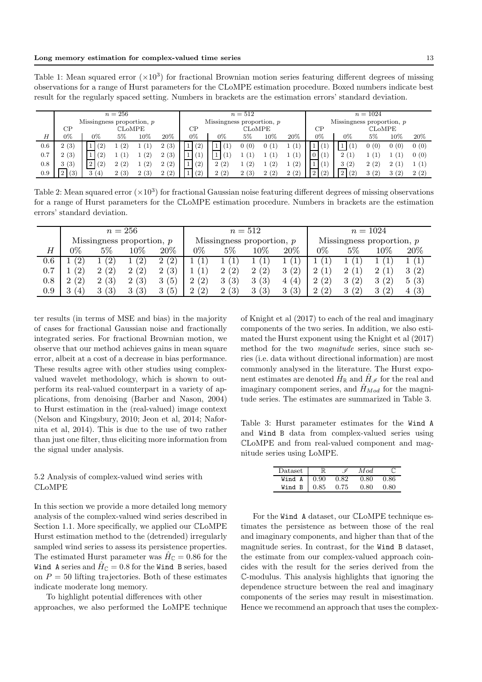Table 1: Mean squared error  $(\times 10^3)$  for fractional Brownian motion series featuring different degrees of missing observations for a range of Hurst parameters for the CLoMPE estimation procedure. Boxed numbers indicate best result for the regularly spaced setting. Numbers in brackets are the estimation errors' standard deviation.

|     | $n=256$                     |                   |       |      |        | $n=512$                     |                             |       |                     | $n = 1024$ |                             |                    |       |                |       |
|-----|-----------------------------|-------------------|-------|------|--------|-----------------------------|-----------------------------|-------|---------------------|------------|-----------------------------|--------------------|-------|----------------|-------|
|     | Missingness proportion, $p$ |                   |       |      |        | Missingness proportion, $p$ |                             |       |                     |            | Missingness proportion, $p$ |                    |       |                |       |
|     | CР<br><b>CLOMPE</b>         |                   |       |      | CP     | <b>CLOMPE</b>               |                             |       | CP<br><b>CLOMPE</b> |            |                             |                    |       |                |       |
| H   | 0%                          | $0\%$             | $5\%$ | 10%  | $20\%$ | 0%                          | 0%                          | $5\%$ | 10%                 | $20\%$     | 0%                          | $0\%$              | $5\%$ | 10%            | 20%   |
| 0.6 | 2(3)                        | (2)               | (2)   |      | 2(3)   | (2)                         | $\mathbf{T}_1$<br>1         | 0(0)  |                     |            |                             |                    | 0(0)  | 0(0)           | 0(0)  |
| 0.7 | 2(3)                        | (2)               |       | (2)  | 2(3)   |                             | $\mathbf{1}$<br>$\mathbf 1$ |       |                     | (1)        |                             | 2(                 |       |                | 0(0)  |
| 0.8 | 3(3)                        | (2)<br>$\sqrt{2}$ | 2(2)  | (2)  | 2(2)   | (2)                         | (2)<br>$\overline{2}$       | 1(2)  | (2)                 | (2)        |                             | 3(2)               | 2(2)  | $\overline{2}$ | l (1) |
| 0.9 | $\Omega$<br>(3)             | 3(4)              | 2(3)  | 2(3) | 2(2)   | (2)                         | 2(2)                        | 2(3)  | 2(2)                | 2(2)       | (2)<br>$\overline{2}$       | $2^{\circ}$<br>(2) | 3(2)  | 3(2)           | 2(2)  |

Table 2: Mean squared error  $(\times 10^3)$  for fractional Gaussian noise featuring different degrees of missing observations for a range of Hurst parameters for the CLoMPE estimation procedure. Numbers in brackets are the estimation errors' standard deviation.

|           |                   |                                     | $n=256$                     |          | $n=512$                     |                       |        |            | $n = 1024$                  |       |          |      |  |
|-----------|-------------------|-------------------------------------|-----------------------------|----------|-----------------------------|-----------------------|--------|------------|-----------------------------|-------|----------|------|--|
|           |                   |                                     | Missingness proportion, $p$ |          | Missingness proportion, $p$ |                       |        |            | Missingness proportion, $p$ |       |          |      |  |
| $H_{\rm}$ | 9%                | $5\%$                               | 10%                         | 20%      | $0\%$                       | $5\%$                 | $10\%$ | $20\%$     | $0\%$                       | $5\%$ | 10%      | 20%  |  |
| 0.6       | $^{\prime}2)$     | $^{\prime}2)$                       | $^{\prime}2)$               | 2(2)     |                             |                       | 1      |            |                             |       |          |      |  |
| 0.7       | $\left( 2\right)$ | $\left( 2\right)$<br>$\overline{2}$ | 2(2)                        | 2(3)     |                             | (2)<br>2              | 2(2)   | 3(2)       | 2 <sub>1</sub>              |       | 2(1)     | 3(2) |  |
| 0.8       | (2)<br>ച          | 2(3)                                | 2(3)                        | 3(5)     | (2)<br>2                    | (3)<br>3              | 3(3)   | (4)<br>4 ( | 2(2)                        | 3(2)  | 3(2)     | 5(3) |  |
| 0.9       | (4)               | (3)                                 | $\left(3\right)$            | (5)<br>3 | (2)<br>$\Omega$             | (3)<br>$\overline{2}$ | 3(3)   | 3(3)       | 2(2)                        | 3(2)  | (2)<br>3 | 4(3) |  |

ter results (in terms of MSE and bias) in the majority of cases for fractional Gaussian noise and fractionally integrated series. For fractional Brownian motion, we observe that our method achieves gains in mean square error, albeit at a cost of a decrease in bias performance. These results agree with other studies using complexvalued wavelet methodology, which is shown to outperform its real-valued counterpart in a variety of applications, from denoising (Barber and Nason, 2004) to Hurst estimation in the (real-valued) image context (Nelson and Kingsbury, 2010; Jeon et al, 2014; Nafornita et al, 2014). This is due to the use of two rather than just one filter, thus eliciting more information from the signal under analysis.

### 5.2 Analysis of complex-valued wind series with CLoMPE

In this section we provide a more detailed long memory analysis of the complex-valued wind series described in Section 1.1. More specifically, we applied our CLoMPE Hurst estimation method to the (detrended) irregularly sampled wind series to assess its persistence properties. The estimated Hurst parameter was  $\hat{H}_{\mathbb{C}} = 0.86$  for the Wind A series and  $\hat{H}_{\mathbb{C}}=0.8$  for the Wind B series, based on  $P = 50$  lifting trajectories. Both of these estimates indicate moderate long memory.

To highlight potential differences with other approaches, we also performed the LoMPE technique of Knight et al (2017) to each of the real and imaginary components of the two series. In addition, we also estimated the Hurst exponent using the Knight et al (2017) method for the two magnitude series, since such series (i.e. data without directional information) are most commonly analysed in the literature. The Hurst exponent estimates are denoted  $\hat{H}_{\mathbb{R}}$  and  $\hat{H}_{\mathscr{I}}$  for the real and imaginary component series, and  $\hat{H}_{Mod}$  for the magnitude series. The estimates are summarized in Table 3.

Table 3: Hurst parameter estimates for the Wind A and Wind B data from complex-valued series using CLoMPE and from real-valued component and magnitude series using LoMPE.

| Dataset            |      | M od. |      |
|--------------------|------|-------|------|
| Wind $A \mid 0.90$ | 0.82 | 0.80  | 0.86 |
| Wind $B \mid 0.85$ | 0.75 | 0.80  | 0.80 |

For the Wind A dataset, our CLoMPE technique estimates the persistence as between those of the real and imaginary components, and higher than that of the magnitude series. In contrast, for the Wind B dataset, the estimate from our complex-valued approach coincides with the result for the series derived from the C-modulus. This analysis highlights that ignoring the dependence structure between the real and imaginary components of the series may result in misestimation. Hence we recommend an approach that uses the complex-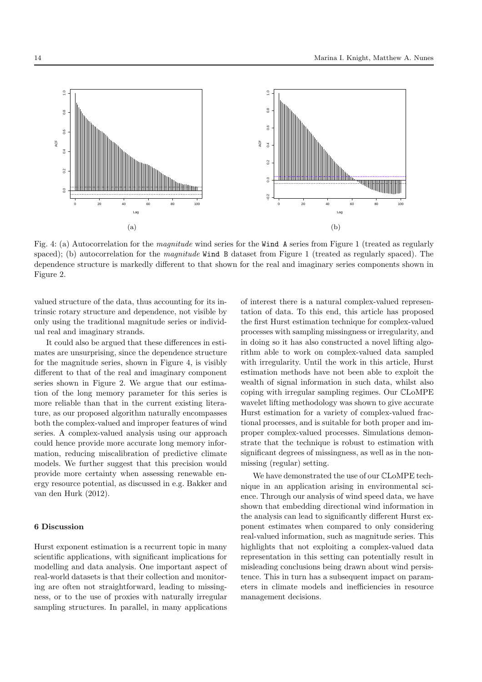

Fig. 4: (a) Autocorrelation for the magnitude wind series for the Wind A series from Figure 1 (treated as regularly spaced); (b) autocorrelation for the *magnitude* Wind B dataset from Figure 1 (treated as regularly spaced). The dependence structure is markedly different to that shown for the real and imaginary series components shown in Figure 2.

valued structure of the data, thus accounting for its intrinsic rotary structure and dependence, not visible by only using the traditional magnitude series or individual real and imaginary strands.

It could also be argued that these differences in estimates are unsurprising, since the dependence structure for the magnitude series, shown in Figure 4, is visibly different to that of the real and imaginary component series shown in Figure 2. We argue that our estimation of the long memory parameter for this series is more reliable than that in the current existing literature, as our proposed algorithm naturally encompasses both the complex-valued and improper features of wind series. A complex-valued analysis using our approach could hence provide more accurate long memory information, reducing miscalibration of predictive climate models. We further suggest that this precision would provide more certainty when assessing renewable energy resource potential, as discussed in e.g. Bakker and van den Hurk (2012).

### 6 Discussion

Hurst exponent estimation is a recurrent topic in many scientific applications, with significant implications for modelling and data analysis. One important aspect of real-world datasets is that their collection and monitoring are often not straightforward, leading to missingness, or to the use of proxies with naturally irregular sampling structures. In parallel, in many applications of interest there is a natural complex-valued representation of data. To this end, this article has proposed the first Hurst estimation technique for complex-valued processes with sampling missingness or irregularity, and in doing so it has also constructed a novel lifting algorithm able to work on complex-valued data sampled with irregularity. Until the work in this article, Hurst estimation methods have not been able to exploit the wealth of signal information in such data, whilst also coping with irregular sampling regimes. Our CLoMPE wavelet lifting methodology was shown to give accurate Hurst estimation for a variety of complex-valued fractional processes, and is suitable for both proper and improper complex-valued processes. Simulations demonstrate that the technique is robust to estimation with significant degrees of missingness, as well as in the nonmissing (regular) setting.

We have demonstrated the use of our CLoMPE technique in an application arising in environmental science. Through our analysis of wind speed data, we have shown that embedding directional wind information in the analysis can lead to significantly different Hurst exponent estimates when compared to only considering real-valued information, such as magnitude series. This highlights that not exploiting a complex-valued data representation in this setting can potentially result in misleading conclusions being drawn about wind persistence. This in turn has a subsequent impact on parameters in climate models and inefficiencies in resource management decisions.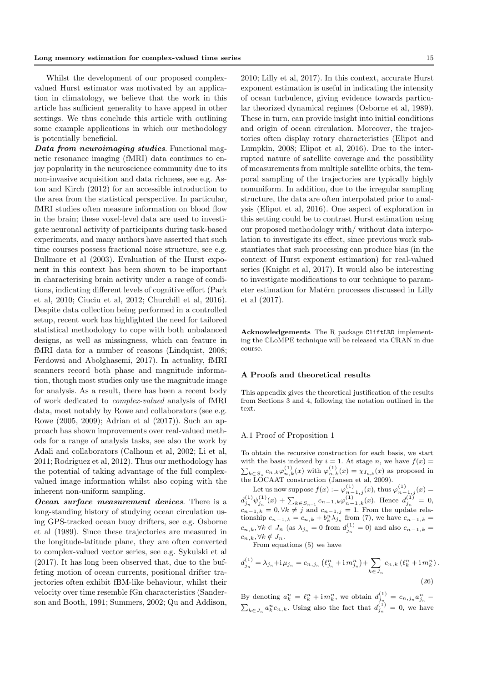Whilst the development of our proposed complexvalued Hurst estimator was motivated by an application in climatology, we believe that the work in this article has sufficient generality to have appeal in other settings. We thus conclude this article with outlining some example applications in which our methodology is potentially beneficial.

Data from neuroimaging studies. Functional magnetic resonance imaging (fMRI) data continues to enjoy popularity in the neuroscience community due to its non-invasive acquisition and data richness, see e.g. Aston and Kirch (2012) for an accessible introduction to the area from the statistical perspective. In particular, fMRI studies often measure information on blood flow in the brain; these voxel-level data are used to investigate neuronal activity of participants during task-based experiments, and many authors have asserted that such time courses possess fractional noise structure, see e.g. Bullmore et al (2003). Evaluation of the Hurst exponent in this context has been shown to be important in characterising brain activity under a range of conditions, indicating different levels of cognitive effort (Park et al, 2010; Ciuciu et al, 2012; Churchill et al, 2016). Despite data collection being performed in a controlled setup, recent work has highlighted the need for tailored statistical methodology to cope with both unbalanced designs, as well as missingness, which can feature in fMRI data for a number of reasons (Lindquist, 2008; Ferdowsi and Abolghasemi, 2017). In actuality, fMRI scanners record both phase and magnitude information, though most studies only use the magnitude image for analysis. As a result, there has been a recent body of work dedicated to complex-valued analysis of fMRI data, most notably by Rowe and collaborators (see e.g. Rowe (2005, 2009); Adrian et al (2017)). Such an approach has shown improvements over real-valued methods for a range of analysis tasks, see also the work by Adali and collaborators (Calhoun et al, 2002; Li et al, 2011; Rodriguez et al, 2012). Thus our methodology has the potential of taking advantage of the full complexvalued image information whilst also coping with the inherent non-uniform sampling.

Ocean surface measurement devices. There is a long-standing history of studying ocean circulation using GPS-tracked ocean buoy drifters, see e.g. Osborne et al (1989). Since these trajectories are measured in the longitude-latitude plane, they are often converted to complex-valued vector series, see e.g. Sykulski et al (2017). It has long been observed that, due to the buffeting motion of ocean currents, positional drifter trajectories often exhibit fBM-like behaviour, whilst their velocity over time resemble fGn characteristics (Sanderson and Booth, 1991; Summers, 2002; Qu and Addison, 2010; Lilly et al, 2017). In this context, accurate Hurst exponent estimation is useful in indicating the intensity of ocean turbulence, giving evidence towards particular theorized dynamical regimes (Osborne et al, 1989). These in turn, can provide insight into initial conditions and origin of ocean circulation. Moreover, the trajectories often display rotary characteristics (Elipot and Lumpkin, 2008; Elipot et al, 2016). Due to the interrupted nature of satellite coverage and the possibility of measurements from multiple satellite orbits, the temporal sampling of the trajectories are typically highly nonuniform. In addition, due to the irregular sampling structure, the data are often interpolated prior to analysis (Elipot et al, 2016). One aspect of exploration in this setting could be to contrast Hurst estimation using our proposed methodology with/ without data interpolation to investigate its effect, since previous work substantiates that such processing can produce bias (in the context of Hurst exponent estimation) for real-valued series (Knight et al, 2017). It would also be interesting to investigate modifications to our technique to parameter estimation for Matérn processes discussed in Lilly et al (2017).

Acknowledgements The R package CliftLRD implementing the CLoMPE technique will be released via CRAN in due course.

### A Proofs and theoretical results

This appendix gives the theoretical justification of the results from Sections 3 and 4, following the notation outlined in the text.

### A.1 Proof of Proposition 1

To obtain the recursive construction for each basis, we start with the basis indexed by  $i = 1$ . At stage n, we have  $f(x) =$  $\sum_{k \in S_n} c_{n,k} \varphi_{n,k}^{(1)}(x)$  with  $\varphi_{n,k}^{(1)}(x) = \chi_{I_{n,k}}(x)$  as proposed in  $\sum_{k \in S_n} c_{n,k} \varphi_{n,k}(x)$  with  $\varphi_{n,k}(x) = \chi_{I_{n,k}}(x)$  as<br>the LOCAAT construction (Jansen et al, 2009).

Let us now suppose  $f(x) := \varphi_{n-1,j}^{(1)}(x)$ , thus  $\varphi_{n-1,j}^{(1)}(x) =$  $d_{j_n}^{(1)} \psi_{j_n}^{(1)}(x) + \sum_{k \in S_{n-1}} c_{n-1,k} \varphi_{n-1,k}^{(1)}(x)$ . Hence  $d_{j_n}^{(1)} = 0$ ,  $c_{n-1,k} = 0, \forall k \neq j$  and  $c_{n-1,j} = 1$ . From the update relationship  $c_{n-1,k} = c_{n,k} + b_k^n \lambda_{j_n}$  from (7), we have  $c_{n-1,k} =$  $c_{n,k}, \forall k \in J_n$  (as  $\lambda_{j_n} = 0$  from  $d_{j_n}^{(1)} = 0$ ) and also  $c_{n-1,k} =$  $c_{n,k}, \forall k \notin J_n$ .

From equations (5) we have

$$
d_{j_n}^{(1)} = \lambda_{j_n} + i \mu_{j_n} = c_{n,j_n} \left( \ell_{j_n}^n + i m_{j_n}^n \right) + \sum_{k \in J_n} c_{n,k} \left( \ell_k^n + i m_k^n \right).
$$
\n(26)

By denoting  $a_k^n = \ell_k^n + \mathrm{i} m_k^n$ , we obtain  $d_{j_n}^{(1)} = c_{n,j_n} a_{j_n}^n$  $\sum_{k\in J_n} a_k^n c_{n,k}$ . Using also the fact that  $d_{j_n}^{(1)} = 0$ , we have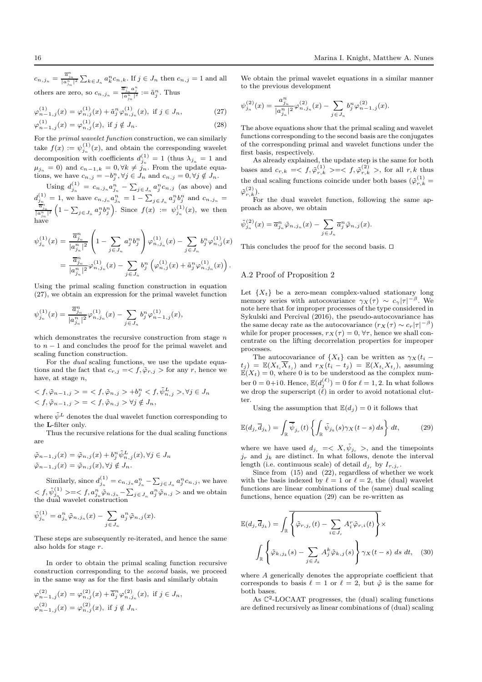$c_{n,j_n} = \frac{\overline{a}_{j_n}^n}{|a_{j_n}^n|^2} \sum_{k \in J_n} a_k^n c_{n,k}$ . If  $j \in J_n$  then  $c_{n,j} = 1$  and all others are zero, so  $c_{n,j_n} = \frac{\overline{a}_{j_n}^n a_j^n}{|a_{j_n}^n|^2} := \tilde{a}_{j}^n$ . Thus

$$
\varphi_{n-1,j}^{(1)}(x) = \varphi_{n,j}^{(1)}(x) + \tilde{a}_j^n \varphi_{n,j_n}^{(1)}(x), \text{ if } j \in J_n,
$$
  
\n
$$
\varphi_{n-1,j}^{(1)}(x) = \varphi_{n,j}^{(1)}(x), \text{ if } j \notin J_n.
$$
\n(28)

For the primal wavelet function construction, we can similarly take  $f(x) := \psi_{j_n}^{(1)}(x)$ , and obtain the corresponding wavelet decomposition with coefficients  $d_{j_n}^{(1)} = 1$  (thus  $\lambda_{j_n} = 1$  and  $\mu_{j_n} = 0$ ) and  $c_{n-1,k} = 0, \forall k \neq j_n$ . From the update equations, we have  $c_{n,j} = -b_j^n, \forall j \in J_n$  and  $c_{n,j} = 0, \forall j \notin J_n$ .

Using  $d_{j_n}^{(1)} = c_{n,j_n} a_{j_n}^n - \sum_{j \in J_n} a_j^n c_{n,j}$  (as above) and  $d_{j_n}^{(1)} = 1$ , we have  $c_{n,j_n} a_{j_n}^n = 1 - \sum_{j \in J_n} a_j^n b_j^n$  and  $c_{n,j_n} = \frac{\overline{a}_{j_n}}{|\overline{a}_{j_n}^n|^2} \left(1 - \sum_{j \in J_n} a_j^n b_j^n\right)$ . Since  $f(x) := \psi_{j_n}^{(1)}(x)$ , we then have

$$
\psi_{j_n}^{(1)}(x) = \frac{\overline{a}_{j_n}^n}{|a_{j_n}^n|^2} \left(1 - \sum_{j \in J_n} a_j^n b_j^n \right) \varphi_{n,j_n}^{(1)}(x) - \sum_{j \in J_n} b_j^n \varphi_{n,j}^{(1)}(x) \n= \frac{\overline{a}_{j_n}^n}{|a_{j_n}^n|^2} \varphi_{n,j_n}^{(1)}(x) - \sum_{j \in J_n} b_j^n \left( \varphi_{n,j}^{(1)}(x) + \tilde{a}_j^n \varphi_{n,j_n}^{(1)}(x) \right).
$$

Using the primal scaling function construction in equation (27), we obtain an expression for the primal wavelet function

$$
\psi_{j_n}^{(1)}(x) = \frac{\overline{a}_{j_n}^n}{|a_{j_n}^n|^2} \varphi_{n,j_n}^{(1)}(x) - \sum_{j \in J_n} b_j^n \varphi_{n-1,j}^{(1)}(x),
$$

which demonstrates the recursive construction from stage  $n$ to  $n-1$  and concludes the proof for the primal wavelet and scaling function construction.

For the *dual* scaling functions, we use the update equations and the fact that  $c_{r,j} = \langle f, \tilde{\varphi}_{r,j} \rangle$  for any r, hence we have, at stage n.

$$
\langle f, \tilde{\varphi}_{n-1,j} \rangle = \langle f, \tilde{\varphi}_{n,j} \rangle + b_j^n \langle f, \tilde{\psi}_{n,j}^L \rangle, \forall j \in J_n
$$
  

$$
\langle f, \tilde{\varphi}_{n-1,j} \rangle = \langle f, \tilde{\varphi}_{n,j} \rangle \forall j \notin J_n,
$$

where  $\tilde{\psi}^L$  denotes the dual wavelet function corresponding to the L-filter only.

Thus the recursive relations for the dual scaling functions are

$$
\tilde{\varphi}_{n-1,j}(x) = \tilde{\varphi}_{n,j}(x) + b_j^n \tilde{\psi}_{n,j}^L(x), \forall j \in J_n
$$
  

$$
\tilde{\varphi}_{n-1,j}(x) = \tilde{\varphi}_{n,j}(x), \forall j \notin J_n.
$$

Similarly, since  $d_{j_n}^{(1)} = c_{n,j_n} a_{j_n}^n - \sum_{j \in J_n} a_j^n c_{n,j}$ , we have  $< f, \tilde{\psi}_{j_n}^{(1)}> = < f, a_{j_n}^n \tilde{\varphi}_{n, j_n} - \sum_{j\in J_n} a_j^n \tilde{\varphi}_{n, j}> \text{and we obtain}$ the dual wavelet construction

$$
\tilde{\psi}_{j_n}^{(1)} = a_{j_n}^n \tilde{\varphi}_{n,j_n}(x) - \sum_{j \in J_n} a_j^n \tilde{\varphi}_{n,j}(x).
$$

These steps are subsequently re-iterated, and hence the same also holds for stage r.

In order to obtain the primal scaling function recursive construction corresponding to the second basis, we proceed in the same way as for the first basis and similarly obtain

$$
\varphi_{n-1,j}^{(2)}(x) = \varphi_{n,j}^{(2)}(x) + \overline{\tilde{a}}_j^n \varphi_{n,j_n}^{(2)}(x), \text{ if } j \in J_n,
$$
  

$$
\varphi_{n-1,j}^{(2)}(x) = \varphi_{n,j}^{(2)}(x), \text{ if } j \notin J_n.
$$

We obtain the primal wavelet equations in a similar manner to the previous development

$$
\psi_{j_n}^{(2)}(x) = \frac{a_{j_n}^n}{|a_{j_n}^n|^2} \varphi_{n,j_n}^{(2)}(x) - \sum_{j \in J_n} b_j^n \varphi_{n-1,j}^{(2)}(x).
$$

The above equations show that the primal scaling and wavelet functions corresponding to the second basis are the conjugates of the corresponding primal and wavelet functions under the first basis, respectively.

As already explained, the update step is the same for both bases and  $c_{r,k} = \langle f, \tilde{\varphi}_{r,k}^{(1)} \rangle = \langle f, \tilde{\varphi}_{r,k}^{(2)} \rangle$ , for all  $r, k$  thus the dual scaling functions coincide under both bases  $(\tilde{\varphi}_{r,k}^{(1)} =$  $\tilde\varphi$ (2)  $\binom{2}{r,k}$ .

For the dual wavelet function, following the same approach as above, we obtain

$$
\tilde{\psi}_{j_n}^{(2)}(x) = \overline{a}_{j_n}^n \tilde{\varphi}_{n,j_n}(x) - \sum_{j \in J_n} \overline{a}_j^n \tilde{\varphi}_{n,j}(x).
$$

This concludes the proof for the second basis. ⊓⊔

### A.2 Proof of Proposition 2

Let  $\{X_t\}$  be a zero-mean complex-valued stationary long memory series with autocovariance  $\gamma_X(\tau) \sim c_\gamma |\tau|^{-\beta}$ . We note here that for improper processes of the type considered in Sykulski and Percival (2016), the pseudo-autocovariance has the same decay rate as the autocovariance  $(r_X(\tau) \sim c_r |\tau|^{-\beta})$ while for proper processes,  $r_X(\tau) = 0$ ,  $\forall \tau$ , hence we shall concentrate on the lifting decorrelation properties for improper processes.

The autocovariance of  $\{X_t\}$  can be written as  $\gamma_X(t_i (t_j) = \mathbb{E}(X_{t_i}\overline{X}_{t_j})$  and  $r_X(t_i - t_j) = \mathbb{E}(X_{t_i}X_{t_j})$ , assuming  $E(X_t) = 0$ , where 0 is to be understood as the complex number  $0 = 0 + i 0$ . Hence,  $\mathbb{E}(d_j^{(\ell)}) = 0$  for  $\ell = 1, 2$ . In what follows we drop the superscript  $(\ell)$  in order to avoid notational clutter.

Using the assumption that  $\mathbb{E}(d_i) = 0$  it follows that

$$
\mathbb{E}(d_{j_r}\overline{d}_{j_k}) = \int_{\mathbb{R}} \overline{\tilde{\psi}}_{j_r}(t) \left\{ \int_{\mathbb{R}} \tilde{\psi}_{j_k}(s) \gamma_X(t-s) \, ds \right\} dt, \tag{29}
$$

where we have used  $d_{j_r} = \langle X, \tilde{\psi}_{j_r} \rangle$ , and the timepoints  $j_r$  and  $j_k$  are distinct. In what follows, denote the interval length (i.e. continuous scale) of detail  $d_{j_r}$  by  $I_{r,j_r}$ .

Since from (15) and (22), regardless of whether we work with the basis indexed by  $\ell = 1$  or  $\ell = 2$ , the (dual) wavelet functions are linear combinations of the (same) dual scaling functions, hence equation (29) can be re-written as

$$
\mathbb{E}(d_{j_r}\overline{d}_{j_k}) = \int_{\mathbb{R}} \overline{\left\{\tilde{\varphi}_{r,j_r}(t) - \sum_{i \in J_r} A_i^r \tilde{\varphi}_{r,i}(t)\right\}} \times \int_{\mathbb{R}} \left\{\tilde{\varphi}_{k,j_k}(s) - \sum_{j \in J_k} A_j^k \tilde{\varphi}_{k,j}(s)\right\} \gamma_X(t-s) \ ds \ dt, \quad (30)
$$

where A generically denotes the appropriate coefficient that corresponds to basis  $\ell = 1$  or  $\ell = 2$ , but  $\tilde{\varphi}$  is the same for both bases.

As  $\mathbb{C}^2$ -LOCAAT progresses, the (dual) scaling functions are defined recursively as linear combinations of (dual) scaling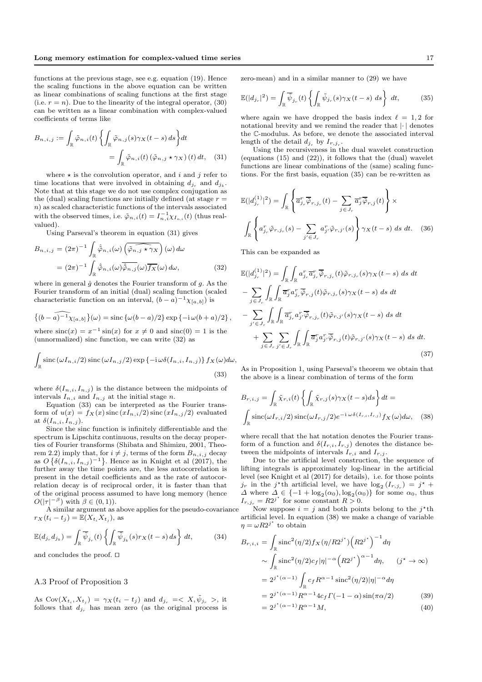functions at the previous stage, see e.g. equation (19). Hence the scaling functions in the above equation can be written as linear combinations of scaling functions at the first stage (i.e.  $r = n$ ). Due to the linearity of the integral operator, (30) can be written as a linear combination with complex-valued coefficients of terms like

$$
B_{n,i,j} := \int_{\mathbb{R}} \tilde{\varphi}_{n,i}(t) \left\{ \int_{\mathbb{R}} \tilde{\varphi}_{n,j}(s) \gamma_X(t-s) \, ds \right\} dt
$$

$$
= \int_{\mathbb{R}} \tilde{\varphi}_{n,i}(t) \left( \tilde{\varphi}_{n,j} \star \gamma_X \right)(t) \, dt, \quad (31)
$$

where  $\star$  is the convolution operator, and i and j refer to time locations that were involved in obtaining  $d_{j_r}$  and  $d_{j_k}$ . Note that at this stage we do not use complex conjugation as the (dual) scaling functions are initially defined (at stage  $r =$ n) as scaled characteristic functions of the intervals associated with the observed times, i.e.  $\tilde{\varphi}_{n,i}(t) = I_{n,i}^{-1} \chi_{I_{n,i}}(t)$  (thus realvalued).

Using Parseval's theorem in equation (31) gives

$$
B_{n,i,j} = (2\pi)^{-1} \int_{\mathbb{R}} \hat{\varphi}_{n,i}(\omega) \left( \widehat{\varphi}_{n,j} \star \gamma_X \right) (\omega) d\omega
$$

$$
= (2\pi)^{-1} \int_{\mathbb{R}} \hat{\varphi}_{n,i}(\omega) \overline{\hat{\varphi}_{n,j}}(\omega) \overline{f_X}(\omega) d\omega, \tag{32}
$$

where in general  $\hat{g}$  denotes the Fourier transform of g. As the Fourier transform of an initial (dual) scaling function (scaled characteristic function on an interval,  $(b-a)^{-1}\chi_{[a,b]}$  is

$$
\left\{ (b-a)^{-1} \chi_{[a,b]} \right\}(\omega) = \operatorname{sinc} \left\{ \omega(b-a)/2 \right\} \exp \left\{ -i \omega(b+a)/2 \right\},\,
$$

where  $\operatorname{sinc}(x) = x^{-1} \operatorname{sin}(x)$  for  $x \neq 0$  and  $\operatorname{sinc}(0) = 1$  is the (unnormalized) sinc function, we can write (32) as

$$
\int_{\mathbb{R}} \operatorname{sinc}(\omega I_{n,i}/2) \operatorname{sinc}(\omega I_{n,j}/2) \exp\left\{-i\omega \delta(I_{n,i}, I_{n,j})\right\} f_X(\omega) d\omega,
$$
\n(33)

where  $\delta(I_{n,i}, I_{n,j})$  is the distance between the midpoints of intervals  $I_{n,i}$  and  $I_{n,j}$  at the initial stage n.

Equation (33) can be interpreted as the Fourier transform of  $u(x) = f_X(x)$  sinc  $(xI_{n,i}/2)$  sinc  $(xI_{n,j}/2)$  evaluated at  $\delta(I_{n,i}, I_{n,j}).$ 

Since the sinc function is infinitely differentiable and the spectrum is Lipschitz continuous, results on the decay properties of Fourier transforms (Shibata and Shimizu, 2001, Theorem 2.2) imply that, for  $i \neq j$ , terms of the form  $B_{n,i,j}$  decay as  $O\left\{\delta(I_{n,i}, I_{n,j})^{-1}\right\}$ . Hence as in Knight et al (2017), the further away the time points are, the less autocorrelation is present in the detail coefficients and as the rate of autocorrelation decay is of reciprocal order, it is faster than that of the original process assumed to have long memory (hence  $O(|\tau|^{-\beta})$  with  $\beta \in (0,1)$ ).

A similar argument as above applies for the pseudo-covariance  $r_X(t_i - t_j) = \mathbb{E}(X_{t_i} X_{t_j}),$  as

$$
\mathbb{E}(d_{j_r}d_{j_k}) = \int_{\mathbb{R}} \overline{\tilde{\psi}}_{j_r}(t) \left\{ \int_{\mathbb{R}} \overline{\tilde{\psi}}_{j_k}(s) r_X(t-s) \, ds \right\} dt, \tag{34}
$$

and concludes the proof. ⊓⊔

#### A.3 Proof of Proposition 3

As  $Cov(X_{t_i}, X_{t_j}) = \gamma_X(t_i - t_j)$  and  $d_{j_r} = \langle X, \tilde{\psi}_{j_r} \rangle$ , it follows that  $d_{j_r}$  has mean zero (as the original process is zero-mean) and in a similar manner to (29) we have

$$
\mathbb{E}(|d_{j_r}|^2) = \int_{\mathbb{R}} \overline{\tilde{\psi}}_{j_r}(t) \left\{ \int_{\mathbb{R}} \tilde{\psi}_{j_r}(s) \gamma_X(t-s) \ ds \right\} \ dt,
$$
 (35)

where again we have dropped the basis index  $\ell = 1, 2$  for notational brevity and we remind the reader that |· | denotes the C-modulus. As before, we denote the associated interval length of the detail  $d_{j_r}$  by  $I_{r,j_r}$ .

Using the recursiveness in the dual wavelet construction (equations (15) and (22)), it follows that the (dual) wavelet functions are linear combinations of the (same) scaling functions. For the first basis, equation (35) can be re-written as

$$
\mathbb{E}(|d_{j_r}^{(1)}|^2) = \int_{\mathbb{R}} \left\{ \overline{a}_{j_r}^r \overline{\tilde{\varphi}}_{r,j_r}(t) - \sum_{j \in J_r} \overline{a}_{j}^r \overline{\tilde{\varphi}}_{r,j}(t) \right\} \times \int_{\mathbb{R}} \left\{ a_{j_r}^r \tilde{\varphi}_{r,j_r}(s) - \sum_{j' \in J_r} a_{j'}^r \tilde{\varphi}_{r,j'}(s) \right\} \gamma_X(t-s) \, ds \, dt. \tag{36}
$$

This can be expanded as

$$
\mathbb{E}(|d_{j_r}^{(1)}|^2) = \int_{\mathbb{R}} \int_{\mathbb{R}} a_{j_r}^r \overline{a}_{j_r}^r \overline{\phi}_{r,j_r}(t) \tilde{\varphi}_{r,j_r}(s) \gamma_X(t-s) \, ds \, dt
$$
  
\n
$$
- \sum_{j \in J_r} \int_{\mathbb{R}} \int_{\mathbb{R}} \overline{a}_{j}^r a_{j_r}^r \overline{\phi}_{r,j}(t) \tilde{\varphi}_{r,j_r}(s) \gamma_X(t-s) \, ds \, dt
$$
  
\n
$$
- \sum_{j' \in J_r} \int_{\mathbb{R}} \int_{\mathbb{R}} \overline{a}_{j_r}^r a_{j_r}^r \overline{\phi}_{r,j_r}(t) \tilde{\varphi}_{r,j'}(s) \gamma_X(t-s) \, ds \, dt
$$
  
\n
$$
+ \sum_{j \in J_r} \sum_{j' \in J_r} \int_{\mathbb{R}} \int_{\mathbb{R}} \overline{a}_{j}^r a_{j'}^r \overline{\phi}_{r,j}(t) \tilde{\varphi}_{r,j'}(s) \gamma_X(t-s) \, ds \, dt.
$$
\n(37)

As in Proposition 1, using Parseval's theorem we obtain that the above is a linear combination of terms of the form

$$
B_{r,i,j} = \int_{\mathbb{R}} \tilde{\chi}_{r,i}(t) \left\{ \int_{\mathbb{R}} \tilde{\chi}_{r,j}(s) \gamma_X(t-s) ds \right\} dt =
$$

$$
\int_{\mathbb{R}} \text{sinc}(\omega I_{r,i}/2) \, \text{sinc}(\omega I_{r,j}/2) e^{-i \omega \delta(I_{r,i}, I_{r,j})} f_X(\omega) d\omega, \quad (38)
$$

where recall that the hat notation denotes the Fourier transform of a function and  $\delta(I_{r,i}, I_{r,j})$  denotes the distance between the midpoints of intervals  $I_{r,i}$  and  $I_{r,j}$ .

Due to the artificial level construction, the sequence of lifting integrals is approximately log-linear in the artificial level (see Knight et al (2017) for details), i.e. for those points  $j_r$  in the j<sup>\*</sup>th artificial level, we have  $\log_2(I_{r,j_r}) = j^*$  +  $\Delta$  where  $\Delta \in \{-1 + \log_2(\alpha_0), \log_2(\alpha_0)\}\)$  for some  $\alpha_0$ , thus  $I_{r,j_r} = R2^{j^*}$  for some constant  $R > 0$ .

Now suppose  $i = j$  and both points belong to the  $j^*$ th artificial level. In equation (38) we make a change of variable  $\eta = \omega R2^{j^*}$  to obtain

$$
B_{r,i,i} = \int_{\mathbb{R}} \operatorname{sinc}^{2}(\eta/2) f_{X}(\eta/R2^{j^{*}}) \left(R2^{j^{*}}\right)^{-1} d\eta
$$
  
\n
$$
\sim \int_{\mathbb{R}} \operatorname{sinc}^{2}(\eta/2) c_{f} |\eta|^{-\alpha} \left(R2^{j^{*}}\right)^{\alpha-1} d\eta, \qquad (j^{*} \to \infty)
$$
  
\n
$$
= 2^{j^{*}(\alpha-1)} \int_{\mathbb{R}} c_{f} R^{\alpha-1} \operatorname{sinc}^{2}(\eta/2) |\eta|^{-\alpha} d\eta
$$
  
\n
$$
= 2^{j^{*}(\alpha-1)} R^{\alpha-1} 4 c_{f} \Gamma(-1-\alpha) \sin(\pi \alpha/2) \qquad (39)
$$
  
\n
$$
= 2^{j^{*}(\alpha-1)} R^{\alpha-1} M, \qquad (40)
$$

$$
2^{j^*(\alpha-1)}R^{\alpha-1}M,
$$
\n(40)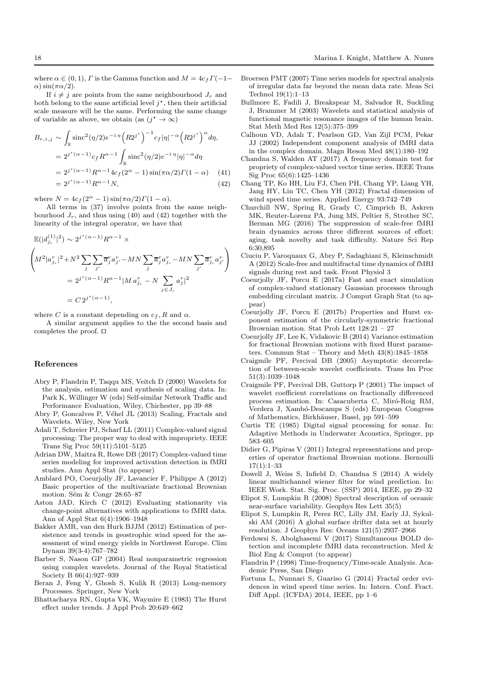where  $\alpha \in (0, 1)$ ,  $\Gamma$  is the Gamma function and  $M = 4c_f \Gamma(-1 \alpha$ ) sin( $\pi \alpha/2$ ).

If  $i \neq j$  are points from the same neighbourhood  $J_r$  and both belong to the same artificial level  $j^*$ , then their artificial scale measure will be the same. Performing the same change of variable as above, we obtain (as  $(j^* \to \infty)$ )

$$
B_{r,i,j} \sim \int_{\mathbb{R}} \operatorname{sinc}^{2}(\eta/2) e^{-i \eta} (R2^{j^{*}})^{-1} c_{f} |\eta|^{-\alpha} (R2^{j^{*}})^{\alpha} d\eta,
$$
  
\n
$$
= 2^{j^{*}(\alpha-1)} c_{f} R^{\alpha-1} \int_{\mathbb{R}} \operatorname{sinc}^{2}(\eta/2) e^{-i \eta} |\eta|^{-\alpha} d\eta
$$
  
\n
$$
= 2^{j^{*}(\alpha-1)} R^{\alpha-1} 4 c_{f} (2^{\alpha} - 1) \sin(\pi \alpha/2) \Gamma(1 - \alpha)
$$
 (41)  
\n
$$
= 2^{j^{*}(\alpha-1)} R^{\alpha-1} N,
$$
 (42)

where  $N = 4c_f(2^{\alpha} - 1)\sin(\pi \alpha/2)\Gamma(1 - \alpha)$ .

All terms in (37) involve points from the same neighbourhood  $J_r$ , and thus using (40) and (42) together with the linearity of the integral operator, we have that

$$
\mathbb{E}(|d_{j_r}^{(1)}|^2) \sim 2^{j^*(\alpha-1)} R^{\alpha-1} \times
$$
\n
$$
\left(M^2 | a_{j_r}^r|^2 + N^2 \sum_j \sum_{j'} \overline{a}_j^r a_{j'}^r - MN \sum_j \overline{a}_j^r a_{j_r}^r - MN \sum_{j'} \overline{a}_{j_r}^r a_{j'}^r \right)
$$
\n
$$
= 2^{j^*(\alpha-1)} R^{\alpha-1} | M a_{j_r}^r - N \sum_{j \in J_r} a_j^r |^2
$$
\n
$$
= C 2^{j^*(\alpha-1)},
$$

where C is a constant depending on  $c_f$ , R and  $\alpha$ .

A similar argument applies to the the second basis and completes the proof. ⊓⊔

#### References

- Abry P, Flandrin P, Taqqu MS, Veitch D (2000) Wavelets for the analysis, estimation and synthesis of scaling data. In: Park K, Willinger W (eds) Self-similar Network Traffic and Performance Evaluation, Wiley, Chichester, pp 39–88
- Abry P, Goncalves P, Véhel JL (2013) Scaling, Fractals and Wavelets. Wiley, New York
- Adali T, Schreier PJ, Scharf LL (2011) Complex-valued signal processing: The proper way to deal with impropriety. IEEE Trans Sig Proc 59(11):5101–5125
- Adrian DW, Maitra R, Rowe DB (2017) Complex-valued time series modeling for improved activation detection in fMRI studies. Ann Appl Stat (to appear)
- Amblard PO, Coeurjolly JF, Lavancier F, Philippe A (2012) Basic properties of the multivariate fractional Brownian motion. Sém  $&$  Congr 28:65–87
- Aston JAD, Kirch C (2012) Evaluating stationarity via change-point alternatives with applications to fMRI data. Ann of Appl Stat 6(4):1906–1948
- Bakker AMR, van den Hurk BJJM (2012) Estimation of persistence and trends in geostrophic wind speed for the assessment of wind energy yields in Northwest Europe. Clim Dynam 39(3-4):767–782
- Barber S, Nason GP (2004) Real nonparametric regression using complex wavelets. Journal of the Royal Statistical Society B 66(4):927–939
- Beran J, Feng Y, Ghosh S, Kulik R (2013) Long-memory Processes. Springer, New York
- Bhattacharya RN, Gupta VK, Waymire E (1983) The Hurst effect under trends. J Appl Prob 20:649–662
- Broersen PMT (2007) Time series models for spectral analysis of irregular data far beyond the mean data rate. Meas Sci Technol 19(1):1–13
- Bullmore E, Fadili J, Breakspear M, Salvador R, Suckling J, Brammer M (2003) Wavelets and statistical analysis of functional magnetic resonance images of the human brain. Stat Meth Med Res 12(5):375–399
- Calhoun VD, Adalı T, Pearlson GD, Van Zijl PCM, Pekar JJ (2002) Independent component analysis of fMRI data in the complex domain. Magn Reson Med 48(1):180–192
- Chandna S, Walden AT (2017) A frequency domain test for propriety of complex-valued vector time series. IEEE Trans Sig Proc 65(6):1425–1436
- Chang TP, Ko HH, Liu FJ, Chen PH, Chang YP, Liang YH, Jang HY, Lin TC, Chen YH (2012) Fractal dimension of wind speed time series. Applied Energy 93:742–749
- Churchill NW, Spring R, Grady C, Cimprich B, Askren MK, Reuter-Lorenz PA, Jung MS, Peltier S, Strother SC, Berman MG (2016) The suppression of scale-free fMRI brain dynamics across three different sources of effort: aging, task novelty and task difficulty. Nature Sci Rep 6:30,895
- Ciuciu P, Varoquaux G, Abry P, Sadaghiani S, Kleinschmidt A (2012) Scale-free and multifractal time dynamics of fMRI signals during rest and task. Front Physiol 3
- Coeurjolly JF, Porcu E (2017a) Fast and exact simulation of complex-valued stationary Gaussian processes through embedding circulant matrix. J Comput Graph Stat (to appear)
- Coeurjolly JF, Porcu E (2017b) Properties and Hurst exponent estimation of the circularly-symmetric fractional Brownian motion. Stat Prob Lett 128:21 – 27
- Coeurjolly JF, Lee K, Vidakovic B (2014) Variance estimation for fractional Brownian motions with fixed Hurst parameters. Commun Stat – Theory and Meth 43(8):1845–1858
- Craigmile PF, Percival DB (2005) Asymptotic decorrelation of between-scale wavelet coefficients. Trans Im Proc 51(3):1039–1048
- Craigmile PF, Percival DB, Guttorp P (2001) The impact of wavelet coefficient correlations on fractionally differenced process estimation. In: Casacuberta C, Miró-Roig RM, Verdera J, Xambó-Descamps S (eds) European Congress of Mathematics, Birkhäuser, Basel, pp 591–599
- Curtis TE (1985) Digital signal processing for sonar. In: Adaptive Methods in Underwater Acoustics, Springer, pp 583–605
- Didier G, Pipiras V (2011) Integral representations and properties of operator fractional Brownian motions. Bernoulli 17(1):1–33
- Dowell J, Weiss S, Infield D, Chandna S (2014) A widely linear multichannel wiener filter for wind prediction. In: IEEE Work. Stat. Sig. Proc. (SSP) 2014, IEEE, pp 29–32
- Elipot S, Lumpkin R (2008) Spectral description of oceanic near-surface variability. Geophys Res Lett 35(5)
- Elipot S, Lumpkin R, Perez RC, Lilly JM, Early JJ, Sykulski AM (2016) A global surface drifter data set at hourly resolution. J Geophys Res: Oceans 121(5):2937–2966
- Ferdowsi S, Abolghasemi V (2017) Simultaneous BOLD detection and incomplete fMRI data reconstruction. Med & Biol Eng & Comput (to appear)
- Flandrin P (1998) Time-frequency/Time-scale Analysis. Academic Press, San Diego
- Fortuna L, Nunnari S, Guariso G (2014) Fractal order evidences in wind speed time series. In: Intern. Conf. Fract. Diff Appl. (ICFDA) 2014, IEEE, pp 1–6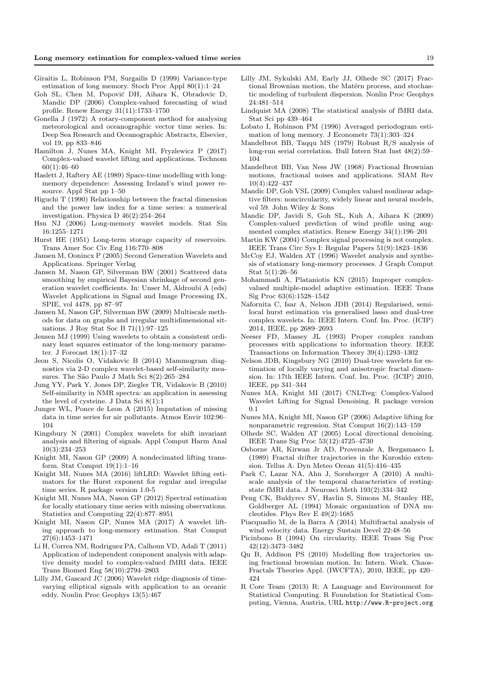- Giraitis L, Robinson PM, Surgailis D (1999) Variance-type estimation of long memory. Stoch Proc Appl 80(1):1–24
- Goh SL, Chen M, Popović DH, Aihara K, Obradovic D, Mandic DP (2006) Complex-valued forecasting of wind profile. Renew Energy 31(11):1733–1750
- Gonella J (1972) A rotary-component method for analysing meteorological and oceanographic vector time series. In: Deep Sea Research and Oceanographic Abstracts, Elsevier, vol 19, pp 833–846
- Hamilton J, Nunes MA, Knight MI, Fryzlewicz P (2017) Complex-valued wavelet lifting and applications. Technom 60(1):46–60
- Haslett J, Raftery AE (1989) Space-time modelling with longmemory dependence: Assessing Ireland's wind power resource. Appl Stat pp 1–50
- Higuchi T (1990) Relationship between the fractal dimension and the power law index for a time series: a numerical investigation. Physica D 46(2):254–264
- Hsu NJ (2006) Long-memory wavelet models. Stat Sin 16:1255–1271
- Hurst HE (1951) Long-term storage capacity of reservoirs. Trans Amer Soc Civ Eng 116:770–808
- Jansen M, Oonincx P (2005) Second Generation Wavelets and Applications. Springer Verlag
- Jansen M, Nason GP, Silverman BW (2001) Scattered data smoothing by empirical Bayesian shrinkage of second generation wavelet coefficients. In: Unser M, Aldroubi A (eds) Wavelet Applications in Signal and Image Processing IX, SPIE, vol 4478, pp 87–97
- Jansen M, Nason GP, Silverman BW (2009) Multiscale methods for data on graphs and irregular multidimensional situations. J Roy Stat Soc B 71(1):97–125
- Jensen MJ (1999) Using wavelets to obtain a consistent ordinary least squares estimator of the long-memory parameter. J Forecast 18(1):17–32
- Jeon S, Nicolis O, Vidakovic B (2014) Mammogram diagnostics via 2-D complex wavelet-based self-similarity measures. The São Paulo J Math Sci 8(2):265-284
- Jung YY, Park Y, Jones DP, Ziegler TR, Vidakovic B (2010) Self-similarity in NMR spectra: an application in assessing the level of cysteine. J Data Sci 8(1):1
- Junger WL, Ponce de Leon A (2015) Imputation of missing data in time series for air pollutants. Atmos Envir 102:96– 104
- Kingsbury N (2001) Complex wavelets for shift invariant analysis and filtering of signals. Appl Comput Harm Anal 10(3):234–253
- Knight MI, Nason GP (2009) A nondecimated lifting transform. Stat Comput 19(1):1–16
- Knight MI, Nunes MA (2016) liftLRD: Wavelet lifting estimators for the Hurst exponent for regular and irregular time series. R package version 1.0-5
- Knight MI, Nunes MA, Nason GP (2012) Spectral estimation for locally stationary time series with missing observations. Statistics and Computing 22(4):877–8951
- Knight MI, Nason GP, Nunes MA (2017) A wavelet lifting approach to long-memory estimation. Stat Comput 27(6):1453–1471
- Li H, Correa NM, Rodriguez PA, Calhoun VD, Adali T (2011) Application of independent component analysis with adaptive density model to complex-valued fMRI data. IEEE Trans Biomed Eng 58(10):2794–2803
- Lilly JM, Gascard JC (2006) Wavelet ridge diagnosis of timevarying elliptical signals with application to an oceanic eddy. Nonlin Proc Geophys 13(5):467
- Lilly JM, Sykulski AM, Early JJ, Olhede SC (2017) Fractional Brownian motion, the Matérn process, and stochastic modeling of turbulent dispersion. Nonlin Proc Geophys 24:481–514
- Lindquist MA (2008) The statistical analysis of fMRI data. Stat Sci pp 439–464
- Lobato I, Robinson PM (1996) Averaged periodogram estimation of long memory. J Econometr 73(1):303–324
- Mandelbrot BB, Taqqu MS (1979) Robust R/S analysis of long-run serial correlation. Bull Intern Stat Inst 48(2):59– 104
- Mandelbrot BB, Van Ness JW (1968) Fractional Brownian motions, fractional noises and applications. SIAM Rev 10(4):422–437
- Mandic DP, Goh VSL (2009) Complex valued nonlinear adaptive filters: noncircularity, widely linear and neural models, vol 59. John Wiley & Sons
- Mandic DP, Javidi S, Goh SL, Kuh A, Aihara K (2009) Complex-valued prediction of wind profile using augmented complex statistics. Renew Energy 34(1):196–201
- Martin KW (2004) Complex signal processing is not complex. IEEE Trans Circ Sys I: Regular Papers 51(9):1823–1836
- McCoy EJ, Walden AT (1996) Wavelet analysis and synthesis of stationary long-memory processes. J Graph Comput Stat 5(1):26–56
- Mohammadi A, Plataniotis KN (2015) Improper complexvalued multiple-model adaptive estimation. IEEE Trans Sig Proc 63(6):1528–1542
- Nafornita C, Isar A, Nelson JDB (2014) Regularised, semilocal hurst estimation via generalised lasso and dual-tree complex wavelets. In: IEEE Intern. Conf. Im. Proc. (ICIP) 2014, IEEE, pp 2689–2693
- Neeser FD, Massey JL (1993) Proper complex random processes with applications to information theory. IEEE Transactions on Information Theory 39(4):1293–1302
- Nelson JDB, Kingsbury NG (2010) Dual-tree wavelets for estimation of locally varying and anisotropic fractal dimension. In: 17th IEEE Intern. Conf. Im. Proc. (ICIP) 2010, IEEE, pp 341–344
- Nunes MA, Knight MI (2017) CNLTreg: Complex-Valued Wavelet Lifting for Signal Denoising. R package version 0.1
- Nunes MA, Knight MI, Nason GP (2006) Adaptive lifting for nonparametric regression. Stat Comput 16(2):143–159
- Olhede SC, Walden AT (2005) Local directional denoising. IEEE Trans Sig Proc 53(12):4725–4730
- Osborne AR, Kirwan Jr AD, Provenzale A, Bergamasco L (1989) Fractal drifter trajectories in the Kuroshio extension. Tellus A: Dyn Meteo Ocean 41(5):416–435
- Park C, Lazar NA, Ahn J, Sornborger A (2010) A multiscale analysis of the temporal characteristics of restingstate fMRI data. J Neurosci Meth 193(2):334–342
- Peng CK, Buldyrev SV, Havlin S, Simons M, Stanley HE, Goldberger AL (1994) Mosaic organization of DNA nucleotides. Phys Rev E 49(2):1685
- Piacquadio M, de la Barra A (2014) Multifractal analysis of wind velocity data. Energy Sustain Devel 22:48–56
- Picinbono B (1994) On circularity. IEEE Trans Sig Proc 42(12):3473–3482
- Qu B, Addison PS (2010) Modelling flow trajectories using fractional brownian motion. In: Intern. Work. Chaos-Fractals Theories Appl. (IWCFTA), 2010, IEEE, pp 420– 424
- R Core Team (2013) R: A Language and Environment for Statistical Computing. R Foundation for Statistical Computing, Vienna, Austria, URL http://www.R-project.org